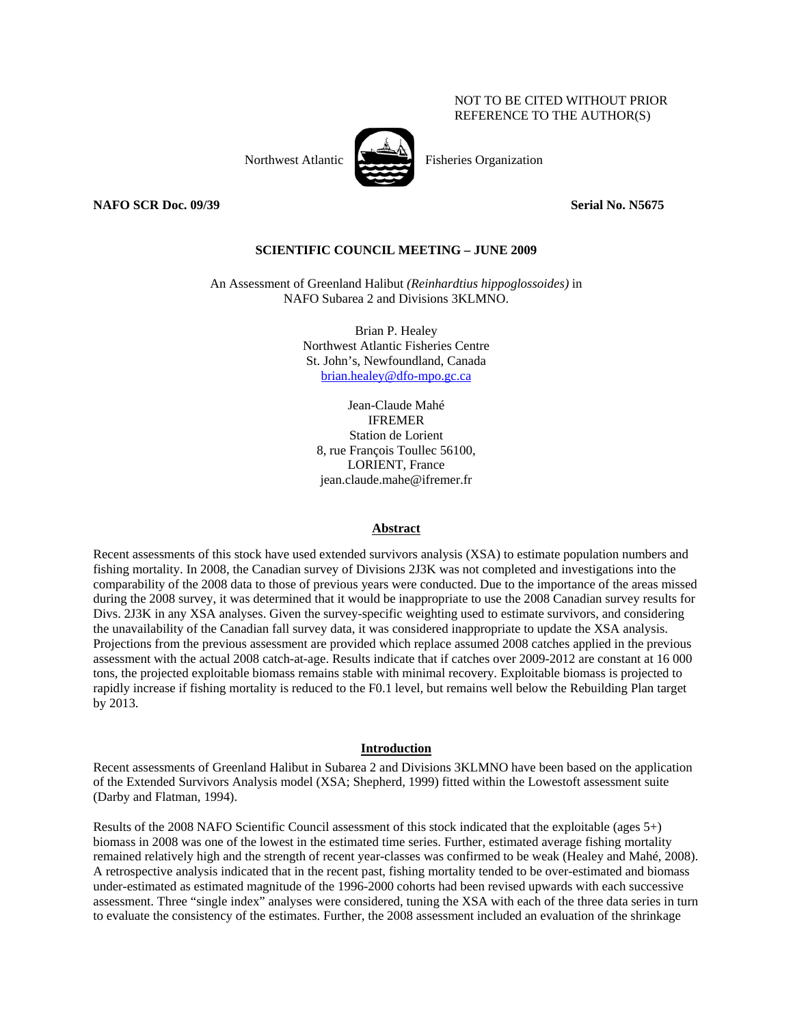## NOT TO BE CITED WITHOUT PRIOR REFERENCE TO THE AUTHOR(S)



Northwest Atlantic Fisheries Organization

**NAFO SCR Doc. 09/39** Serial No. N5675

## **SCIENTIFIC COUNCIL MEETING – JUNE 2009**

An Assessment of Greenland Halibut *(Reinhardtius hippoglossoides)* in NAFO Subarea 2 and Divisions 3KLMNO.

> Brian P. Healey Northwest Atlantic Fisheries Centre St. John's, Newfoundland, Canada brian.healey@dfo-mpo.gc.ca

Jean-Claude Mahé IFREMER Station de Lorient 8, rue François Toullec 56100, LORIENT, France jean.claude.mahe@ifremer.fr

#### **Abstract**

Recent assessments of this stock have used extended survivors analysis (XSA) to estimate population numbers and fishing mortality. In 2008, the Canadian survey of Divisions 2J3K was not completed and investigations into the comparability of the 2008 data to those of previous years were conducted. Due to the importance of the areas missed during the 2008 survey, it was determined that it would be inappropriate to use the 2008 Canadian survey results for Divs. 2J3K in any XSA analyses. Given the survey-specific weighting used to estimate survivors, and considering the unavailability of the Canadian fall survey data, it was considered inappropriate to update the XSA analysis. Projections from the previous assessment are provided which replace assumed 2008 catches applied in the previous assessment with the actual 2008 catch-at-age. Results indicate that if catches over 2009-2012 are constant at 16 000 tons, the projected exploitable biomass remains stable with minimal recovery. Exploitable biomass is projected to rapidly increase if fishing mortality is reduced to the F0.1 level, but remains well below the Rebuilding Plan target by 2013.

#### **Introduction**

Recent assessments of Greenland Halibut in Subarea 2 and Divisions 3KLMNO have been based on the application of the Extended Survivors Analysis model (XSA; Shepherd, 1999) fitted within the Lowestoft assessment suite (Darby and Flatman, 1994).

Results of the 2008 NAFO Scientific Council assessment of this stock indicated that the exploitable (ages 5+) biomass in 2008 was one of the lowest in the estimated time series. Further, estimated average fishing mortality remained relatively high and the strength of recent year-classes was confirmed to be weak (Healey and Mahé, 2008). A retrospective analysis indicated that in the recent past, fishing mortality tended to be over-estimated and biomass under-estimated as estimated magnitude of the 1996-2000 cohorts had been revised upwards with each successive assessment. Three "single index" analyses were considered, tuning the XSA with each of the three data series in turn to evaluate the consistency of the estimates. Further, the 2008 assessment included an evaluation of the shrinkage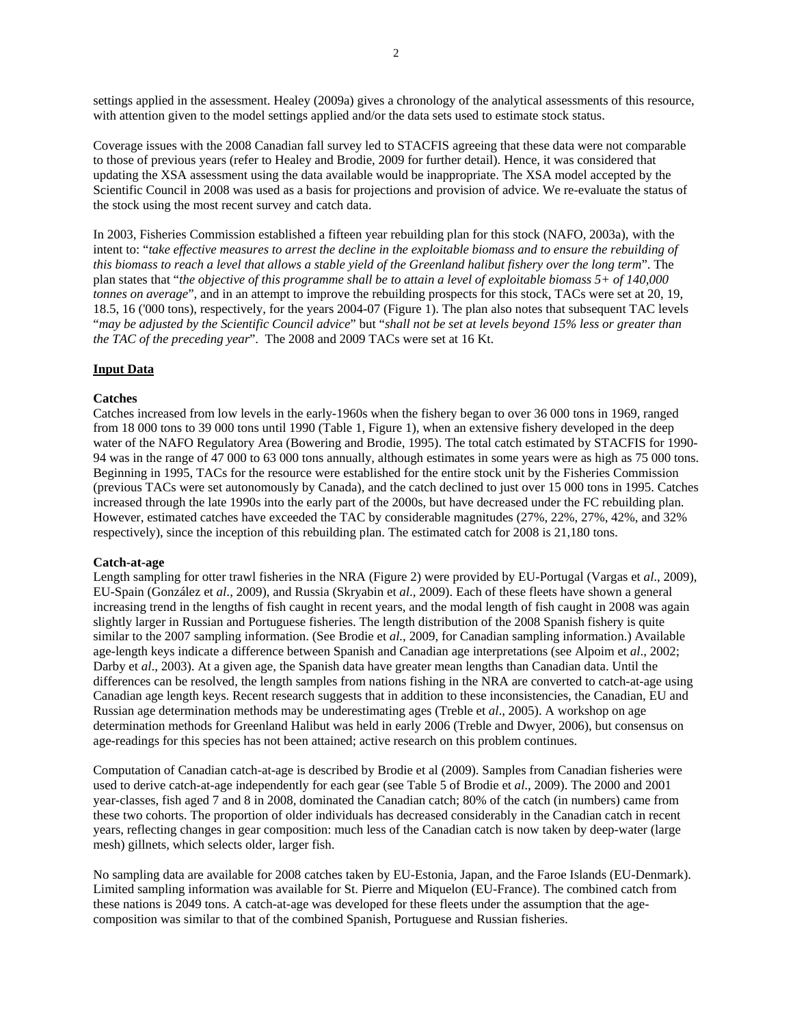settings applied in the assessment. Healey (2009a) gives a chronology of the analytical assessments of this resource, with attention given to the model settings applied and/or the data sets used to estimate stock status.

Coverage issues with the 2008 Canadian fall survey led to STACFIS agreeing that these data were not comparable to those of previous years (refer to Healey and Brodie, 2009 for further detail). Hence, it was considered that updating the XSA assessment using the data available would be inappropriate. The XSA model accepted by the Scientific Council in 2008 was used as a basis for projections and provision of advice. We re-evaluate the status of the stock using the most recent survey and catch data.

In 2003, Fisheries Commission established a fifteen year rebuilding plan for this stock (NAFO, 2003a), with the intent to: "*take effective measures to arrest the decline in the exploitable biomass and to ensure the rebuilding of this biomass to reach a level that allows a stable yield of the Greenland halibut fishery over the long term*". The plan states that "*the objective of this programme shall be to attain a level of exploitable biomass 5+ of 140,000 tonnes on average*", and in an attempt to improve the rebuilding prospects for this stock, TACs were set at 20, 19, 18.5, 16 ('000 tons), respectively, for the years 2004-07 (Figure 1). The plan also notes that subsequent TAC levels "*may be adjusted by the Scientific Council advice*" but "*shall not be set at levels beyond 15% less or greater than the TAC of the preceding year*". The 2008 and 2009 TACs were set at 16 Kt.

### **Input Data**

### **Catches**

Catches increased from low levels in the early-1960s when the fishery began to over 36 000 tons in 1969, ranged from 18 000 tons to 39 000 tons until 1990 (Table 1, Figure 1), when an extensive fishery developed in the deep water of the NAFO Regulatory Area (Bowering and Brodie, 1995). The total catch estimated by STACFIS for 1990- 94 was in the range of 47 000 to 63 000 tons annually, although estimates in some years were as high as 75 000 tons. Beginning in 1995, TACs for the resource were established for the entire stock unit by the Fisheries Commission (previous TACs were set autonomously by Canada), and the catch declined to just over 15 000 tons in 1995. Catches increased through the late 1990s into the early part of the 2000s, but have decreased under the FC rebuilding plan. However, estimated catches have exceeded the TAC by considerable magnitudes (27%, 22%, 27%, 42%, and 32% respectively), since the inception of this rebuilding plan. The estimated catch for 2008 is 21,180 tons.

#### **Catch-at-age**

Length sampling for otter trawl fisheries in the NRA (Figure 2) were provided by EU-Portugal (Vargas et *al*., 2009), EU-Spain (González et *al*., 2009), and Russia (Skryabin et *al*., 2009). Each of these fleets have shown a general increasing trend in the lengths of fish caught in recent years, and the modal length of fish caught in 2008 was again slightly larger in Russian and Portuguese fisheries. The length distribution of the 2008 Spanish fishery is quite similar to the 2007 sampling information. (See Brodie et *al.*, 2009, for Canadian sampling information.) Available age-length keys indicate a difference between Spanish and Canadian age interpretations (see Alpoim et *al*., 2002; Darby et *al*., 2003). At a given age, the Spanish data have greater mean lengths than Canadian data. Until the differences can be resolved, the length samples from nations fishing in the NRA are converted to catch-at-age using Canadian age length keys. Recent research suggests that in addition to these inconsistencies, the Canadian, EU and Russian age determination methods may be underestimating ages (Treble et *al*., 2005). A workshop on age determination methods for Greenland Halibut was held in early 2006 (Treble and Dwyer, 2006), but consensus on age-readings for this species has not been attained; active research on this problem continues.

Computation of Canadian catch-at-age is described by Brodie et al (2009). Samples from Canadian fisheries were used to derive catch-at-age independently for each gear (see Table 5 of Brodie et *al*., 2009). The 2000 and 2001 year-classes, fish aged 7 and 8 in 2008, dominated the Canadian catch; 80% of the catch (in numbers) came from these two cohorts. The proportion of older individuals has decreased considerably in the Canadian catch in recent years, reflecting changes in gear composition: much less of the Canadian catch is now taken by deep-water (large mesh) gillnets, which selects older, larger fish.

No sampling data are available for 2008 catches taken by EU-Estonia, Japan, and the Faroe Islands (EU-Denmark). Limited sampling information was available for St. Pierre and Miquelon (EU-France). The combined catch from these nations is 2049 tons. A catch-at-age was developed for these fleets under the assumption that the agecomposition was similar to that of the combined Spanish, Portuguese and Russian fisheries.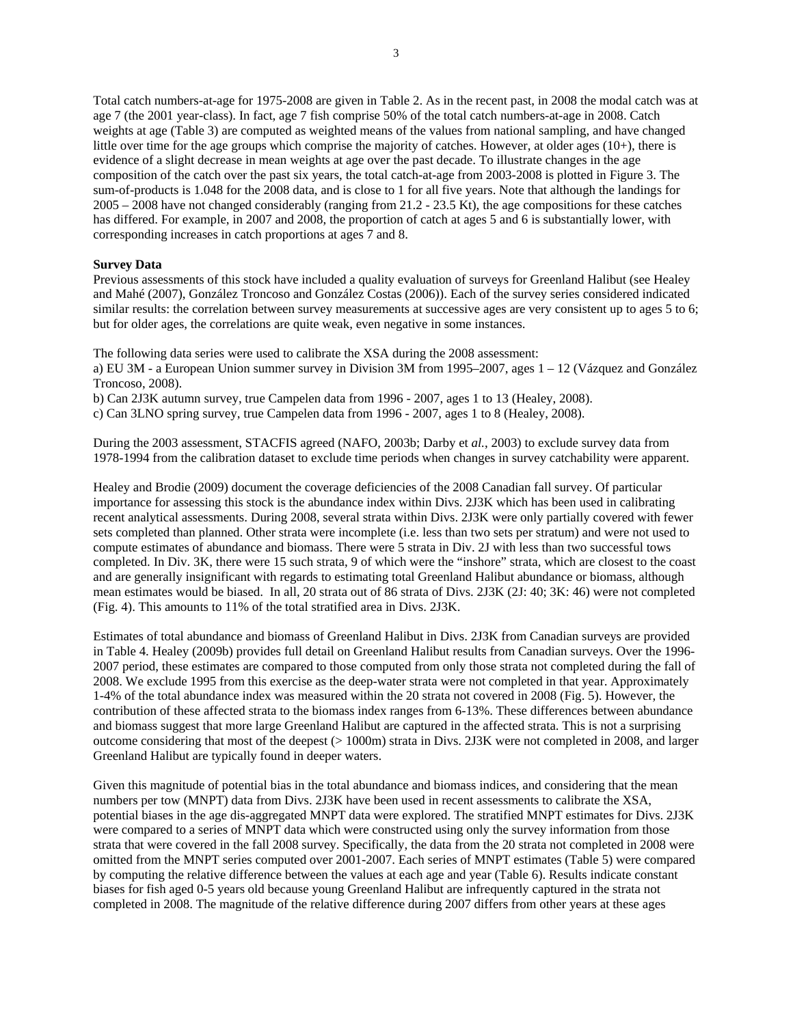Total catch numbers-at-age for 1975-2008 are given in Table 2. As in the recent past, in 2008 the modal catch was at age 7 (the 2001 year-class). In fact, age 7 fish comprise 50% of the total catch numbers-at-age in 2008. Catch weights at age (Table 3) are computed as weighted means of the values from national sampling, and have changed little over time for the age groups which comprise the majority of catches. However, at older ages (10+), there is evidence of a slight decrease in mean weights at age over the past decade. To illustrate changes in the age composition of the catch over the past six years, the total catch-at-age from 2003-2008 is plotted in Figure 3. The sum-of-products is 1.048 for the 2008 data, and is close to 1 for all five years. Note that although the landings for 2005 – 2008 have not changed considerably (ranging from 21.2 - 23.5 Kt), the age compositions for these catches has differed. For example, in 2007 and 2008, the proportion of catch at ages 5 and 6 is substantially lower, with corresponding increases in catch proportions at ages 7 and 8.

## **Survey Data**

Previous assessments of this stock have included a quality evaluation of surveys for Greenland Halibut (see Healey and Mahé (2007), González Troncoso and González Costas (2006)). Each of the survey series considered indicated similar results: the correlation between survey measurements at successive ages are very consistent up to ages 5 to 6; but for older ages, the correlations are quite weak, even negative in some instances.

The following data series were used to calibrate the XSA during the 2008 assessment:

a) EU 3M - a European Union summer survey in Division 3M from 1995–2007, ages 1 – 12 (Vázquez and González Troncoso, 2008).

b) Can 2J3K autumn survey, true Campelen data from 1996 - 2007, ages 1 to 13 (Healey, 2008).

c) Can 3LNO spring survey, true Campelen data from 1996 - 2007, ages 1 to 8 (Healey, 2008).

During the 2003 assessment, STACFIS agreed (NAFO, 2003b; Darby et *al.*, 2003) to exclude survey data from 1978-1994 from the calibration dataset to exclude time periods when changes in survey catchability were apparent.

Healey and Brodie (2009) document the coverage deficiencies of the 2008 Canadian fall survey. Of particular importance for assessing this stock is the abundance index within Divs. 2J3K which has been used in calibrating recent analytical assessments. During 2008, several strata within Divs. 2J3K were only partially covered with fewer sets completed than planned. Other strata were incomplete (i.e. less than two sets per stratum) and were not used to compute estimates of abundance and biomass. There were 5 strata in Div. 2J with less than two successful tows completed. In Div. 3K, there were 15 such strata, 9 of which were the "inshore" strata, which are closest to the coast and are generally insignificant with regards to estimating total Greenland Halibut abundance or biomass, although mean estimates would be biased. In all, 20 strata out of 86 strata of Divs. 2J3K (2J: 40; 3K: 46) were not completed (Fig. 4). This amounts to 11% of the total stratified area in Divs. 2J3K.

Estimates of total abundance and biomass of Greenland Halibut in Divs. 2J3K from Canadian surveys are provided in Table 4. Healey (2009b) provides full detail on Greenland Halibut results from Canadian surveys. Over the 1996- 2007 period, these estimates are compared to those computed from only those strata not completed during the fall of 2008. We exclude 1995 from this exercise as the deep-water strata were not completed in that year. Approximately 1-4% of the total abundance index was measured within the 20 strata not covered in 2008 (Fig. 5). However, the contribution of these affected strata to the biomass index ranges from 6-13%. These differences between abundance and biomass suggest that more large Greenland Halibut are captured in the affected strata. This is not a surprising outcome considering that most of the deepest (> 1000m) strata in Divs. 2J3K were not completed in 2008, and larger Greenland Halibut are typically found in deeper waters.

Given this magnitude of potential bias in the total abundance and biomass indices, and considering that the mean numbers per tow (MNPT) data from Divs. 2J3K have been used in recent assessments to calibrate the XSA, potential biases in the age dis-aggregated MNPT data were explored. The stratified MNPT estimates for Divs. 2J3K were compared to a series of MNPT data which were constructed using only the survey information from those strata that were covered in the fall 2008 survey. Specifically, the data from the 20 strata not completed in 2008 were omitted from the MNPT series computed over 2001-2007. Each series of MNPT estimates (Table 5) were compared by computing the relative difference between the values at each age and year (Table 6). Results indicate constant biases for fish aged 0-5 years old because young Greenland Halibut are infrequently captured in the strata not completed in 2008. The magnitude of the relative difference during 2007 differs from other years at these ages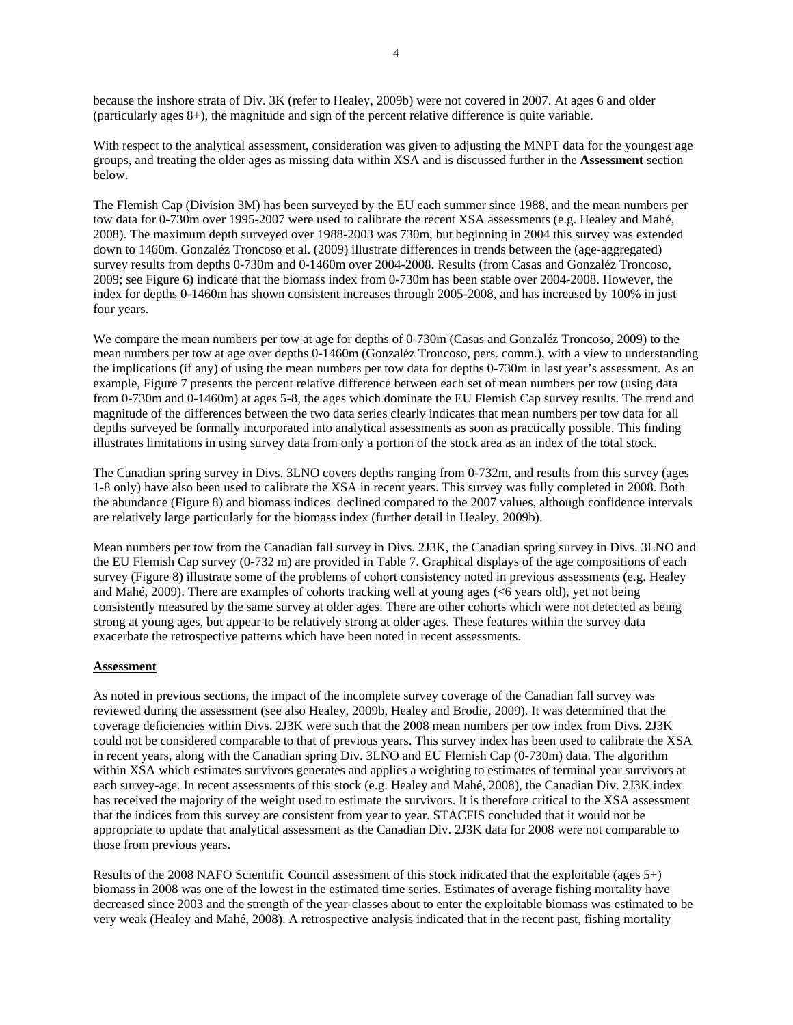because the inshore strata of Div. 3K (refer to Healey, 2009b) were not covered in 2007. At ages 6 and older (particularly ages 8+), the magnitude and sign of the percent relative difference is quite variable.

With respect to the analytical assessment, consideration was given to adjusting the MNPT data for the youngest age groups, and treating the older ages as missing data within XSA and is discussed further in the **Assessment** section below.

The Flemish Cap (Division 3M) has been surveyed by the EU each summer since 1988, and the mean numbers per tow data for 0-730m over 1995-2007 were used to calibrate the recent XSA assessments (e.g. Healey and Mahé, 2008). The maximum depth surveyed over 1988-2003 was 730m, but beginning in 2004 this survey was extended down to 1460m. Gonzaléz Troncoso et al. (2009) illustrate differences in trends between the (age-aggregated) survey results from depths 0-730m and 0-1460m over 2004-2008. Results (from Casas and Gonzaléz Troncoso, 2009; see Figure 6) indicate that the biomass index from 0-730m has been stable over 2004-2008. However, the index for depths 0-1460m has shown consistent increases through 2005-2008, and has increased by 100% in just four years.

We compare the mean numbers per tow at age for depths of 0-730m (Casas and Gonzaléz Troncoso, 2009) to the mean numbers per tow at age over depths 0-1460m (Gonzaléz Troncoso, pers. comm.), with a view to understanding the implications (if any) of using the mean numbers per tow data for depths 0-730m in last year's assessment. As an example, Figure 7 presents the percent relative difference between each set of mean numbers per tow (using data from 0-730m and 0-1460m) at ages 5-8, the ages which dominate the EU Flemish Cap survey results. The trend and magnitude of the differences between the two data series clearly indicates that mean numbers per tow data for all depths surveyed be formally incorporated into analytical assessments as soon as practically possible. This finding illustrates limitations in using survey data from only a portion of the stock area as an index of the total stock.

The Canadian spring survey in Divs. 3LNO covers depths ranging from 0-732m, and results from this survey (ages 1-8 only) have also been used to calibrate the XSA in recent years. This survey was fully completed in 2008. Both the abundance (Figure 8) and biomass indices declined compared to the 2007 values, although confidence intervals are relatively large particularly for the biomass index (further detail in Healey, 2009b).

Mean numbers per tow from the Canadian fall survey in Divs. 2J3K, the Canadian spring survey in Divs. 3LNO and the EU Flemish Cap survey (0-732 m) are provided in Table 7. Graphical displays of the age compositions of each survey (Figure 8) illustrate some of the problems of cohort consistency noted in previous assessments (e.g. Healey and Mahé, 2009). There are examples of cohorts tracking well at young ages (<6 years old), yet not being consistently measured by the same survey at older ages. There are other cohorts which were not detected as being strong at young ages, but appear to be relatively strong at older ages. These features within the survey data exacerbate the retrospective patterns which have been noted in recent assessments.

### **Assessment**

As noted in previous sections, the impact of the incomplete survey coverage of the Canadian fall survey was reviewed during the assessment (see also Healey, 2009b, Healey and Brodie, 2009). It was determined that the coverage deficiencies within Divs. 2J3K were such that the 2008 mean numbers per tow index from Divs. 2J3K could not be considered comparable to that of previous years. This survey index has been used to calibrate the XSA in recent years, along with the Canadian spring Div. 3LNO and EU Flemish Cap (0-730m) data. The algorithm within XSA which estimates survivors generates and applies a weighting to estimates of terminal year survivors at each survey-age. In recent assessments of this stock (e.g. Healey and Mahé, 2008), the Canadian Div. 2J3K index has received the majority of the weight used to estimate the survivors. It is therefore critical to the XSA assessment that the indices from this survey are consistent from year to year. STACFIS concluded that it would not be appropriate to update that analytical assessment as the Canadian Div. 2J3K data for 2008 were not comparable to those from previous years.

Results of the 2008 NAFO Scientific Council assessment of this stock indicated that the exploitable (ages 5+) biomass in 2008 was one of the lowest in the estimated time series. Estimates of average fishing mortality have decreased since 2003 and the strength of the year-classes about to enter the exploitable biomass was estimated to be very weak (Healey and Mahé, 2008). A retrospective analysis indicated that in the recent past, fishing mortality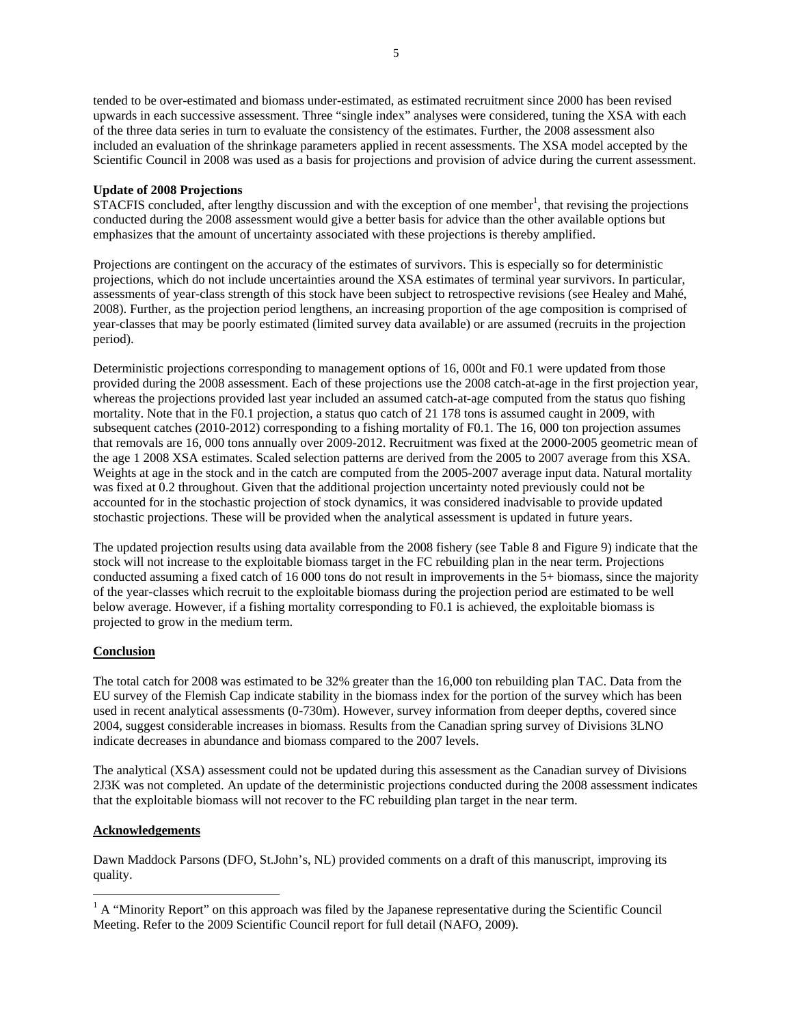tended to be over-estimated and biomass under-estimated, as estimated recruitment since 2000 has been revised upwards in each successive assessment. Three "single index" analyses were considered, tuning the XSA with each of the three data series in turn to evaluate the consistency of the estimates. Further, the 2008 assessment also included an evaluation of the shrinkage parameters applied in recent assessments. The XSA model accepted by the Scientific Council in 2008 was used as a basis for projections and provision of advice during the current assessment.

## **Update of 2008 Projections**

 $STACFIS$  concluded, after lengthy discussion and with the exception of one member<sup>1</sup>, that revising the projections conducted during the 2008 assessment would give a better basis for advice than the other available options but emphasizes that the amount of uncertainty associated with these projections is thereby amplified.

Projections are contingent on the accuracy of the estimates of survivors. This is especially so for deterministic projections, which do not include uncertainties around the XSA estimates of terminal year survivors. In particular, assessments of year-class strength of this stock have been subject to retrospective revisions (see Healey and Mahé, 2008). Further, as the projection period lengthens, an increasing proportion of the age composition is comprised of year-classes that may be poorly estimated (limited survey data available) or are assumed (recruits in the projection period).

Deterministic projections corresponding to management options of 16, 000t and F0.1 were updated from those provided during the 2008 assessment. Each of these projections use the 2008 catch-at-age in the first projection year, whereas the projections provided last year included an assumed catch-at-age computed from the status quo fishing mortality. Note that in the F0.1 projection, a status quo catch of 21 178 tons is assumed caught in 2009, with subsequent catches (2010-2012) corresponding to a fishing mortality of F0.1. The 16, 000 ton projection assumes that removals are 16, 000 tons annually over 2009-2012. Recruitment was fixed at the 2000-2005 geometric mean of the age 1 2008 XSA estimates. Scaled selection patterns are derived from the 2005 to 2007 average from this XSA. Weights at age in the stock and in the catch are computed from the 2005-2007 average input data. Natural mortality was fixed at 0.2 throughout. Given that the additional projection uncertainty noted previously could not be accounted for in the stochastic projection of stock dynamics, it was considered inadvisable to provide updated stochastic projections. These will be provided when the analytical assessment is updated in future years.

The updated projection results using data available from the 2008 fishery (see Table 8 and Figure 9) indicate that the stock will not increase to the exploitable biomass target in the FC rebuilding plan in the near term. Projections conducted assuming a fixed catch of 16 000 tons do not result in improvements in the 5+ biomass, since the majority of the year-classes which recruit to the exploitable biomass during the projection period are estimated to be well below average. However, if a fishing mortality corresponding to F0.1 is achieved, the exploitable biomass is projected to grow in the medium term.

# **Conclusion**

The total catch for 2008 was estimated to be 32% greater than the 16,000 ton rebuilding plan TAC. Data from the EU survey of the Flemish Cap indicate stability in the biomass index for the portion of the survey which has been used in recent analytical assessments (0-730m). However, survey information from deeper depths, covered since 2004, suggest considerable increases in biomass. Results from the Canadian spring survey of Divisions 3LNO indicate decreases in abundance and biomass compared to the 2007 levels.

The analytical (XSA) assessment could not be updated during this assessment as the Canadian survey of Divisions 2J3K was not completed. An update of the deterministic projections conducted during the 2008 assessment indicates that the exploitable biomass will not recover to the FC rebuilding plan target in the near term.

# **Acknowledgements**

 $\overline{a}$ 

Dawn Maddock Parsons (DFO, St.John's, NL) provided comments on a draft of this manuscript, improving its quality.

<sup>&</sup>lt;sup>1</sup> A "Minority Report" on this approach was filed by the Japanese representative during the Scientific Council Meeting. Refer to the 2009 Scientific Council report for full detail (NAFO, 2009).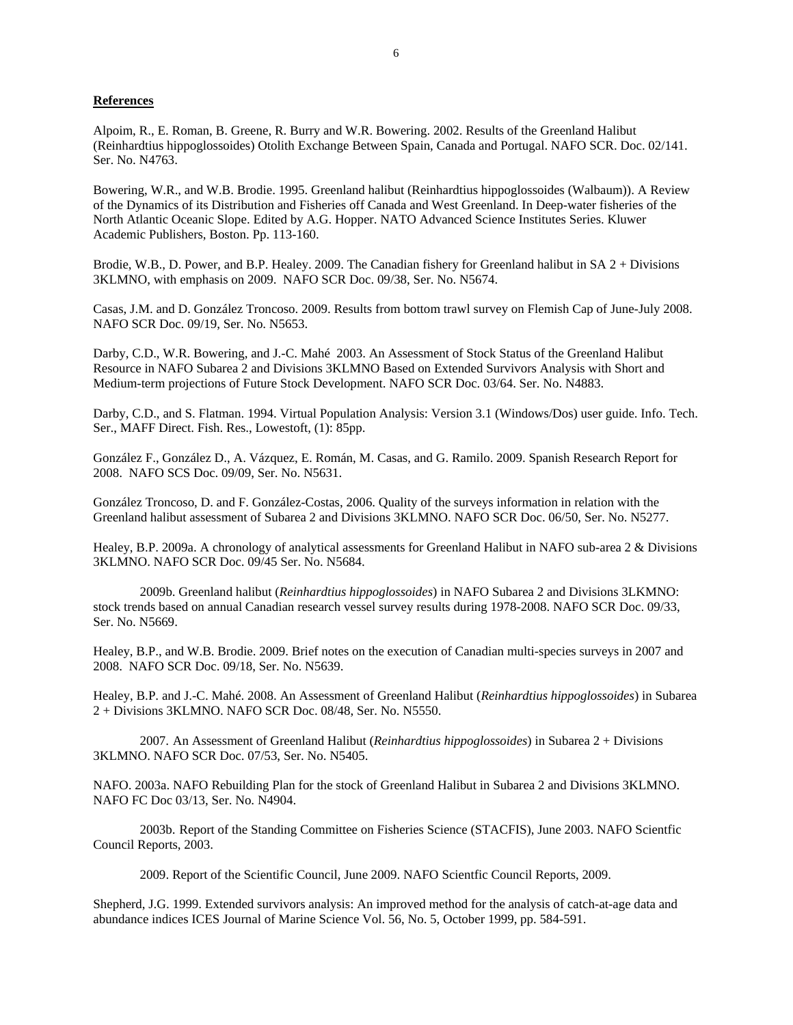#### **References**

Alpoim, R., E. Roman, B. Greene, R. Burry and W.R. Bowering. 2002. Results of the Greenland Halibut (Reinhardtius hippoglossoides) Otolith Exchange Between Spain, Canada and Portugal. NAFO SCR. Doc. 02/141. Ser. No. N4763.

Bowering, W.R., and W.B. Brodie. 1995. Greenland halibut (Reinhardtius hippoglossoides (Walbaum)). A Review of the Dynamics of its Distribution and Fisheries off Canada and West Greenland. In Deep-water fisheries of the North Atlantic Oceanic Slope. Edited by A.G. Hopper. NATO Advanced Science Institutes Series. Kluwer Academic Publishers, Boston. Pp. 113-160.

Brodie, W.B., D. Power, and B.P. Healey. 2009. The Canadian fishery for Greenland halibut in SA 2 + Divisions 3KLMNO, with emphasis on 2009. NAFO SCR Doc. 09/38, Ser. No. N5674.

Casas, J.M. and D. González Troncoso. 2009. Results from bottom trawl survey on Flemish Cap of June-July 2008. NAFO SCR Doc. 09/19, Ser. No. N5653.

Darby, C.D., W.R. Bowering, and J.-C. Mahé 2003. An Assessment of Stock Status of the Greenland Halibut Resource in NAFO Subarea 2 and Divisions 3KLMNO Based on Extended Survivors Analysis with Short and Medium-term projections of Future Stock Development. NAFO SCR Doc. 03/64. Ser. No. N4883.

Darby, C.D., and S. Flatman. 1994. Virtual Population Analysis: Version 3.1 (Windows/Dos) user guide. Info. Tech. Ser., MAFF Direct. Fish. Res., Lowestoft, (1): 85pp.

González F., González D., A. Vázquez, E. Román, M. Casas, and G. Ramilo. 2009. Spanish Research Report for 2008. NAFO SCS Doc. 09/09, Ser. No. N5631.

González Troncoso, D. and F. González-Costas, 2006. Quality of the surveys information in relation with the Greenland halibut assessment of Subarea 2 and Divisions 3KLMNO. NAFO SCR Doc. 06/50, Ser. No. N5277.

Healey, B.P. 2009a. A chronology of analytical assessments for Greenland Halibut in NAFO sub-area 2 & Divisions 3KLMNO. NAFO SCR Doc. 09/45 Ser. No. N5684.

2009b. Greenland halibut (*Reinhardtius hippoglossoides*) in NAFO Subarea 2 and Divisions 3LKMNO: stock trends based on annual Canadian research vessel survey results during 1978-2008. NAFO SCR Doc. 09/33, Ser. No. N5669.

Healey, B.P., and W.B. Brodie. 2009. Brief notes on the execution of Canadian multi-species surveys in 2007 and 2008. NAFO SCR Doc. 09/18, Ser. No. N5639.

Healey, B.P. and J.-C. Mahé. 2008. An Assessment of Greenland Halibut (*Reinhardtius hippoglossoides*) in Subarea 2 + Divisions 3KLMNO. NAFO SCR Doc. 08/48, Ser. No. N5550.

 2007. An Assessment of Greenland Halibut (*Reinhardtius hippoglossoides*) in Subarea 2 + Divisions 3KLMNO. NAFO SCR Doc. 07/53, Ser. No. N5405.

NAFO. 2003a. NAFO Rebuilding Plan for the stock of Greenland Halibut in Subarea 2 and Divisions 3KLMNO. NAFO FC Doc 03/13, Ser. No. N4904.

 2003b. Report of the Standing Committee on Fisheries Science (STACFIS), June 2003. NAFO Scientfic Council Reports, 2003.

2009. Report of the Scientific Council, June 2009. NAFO Scientfic Council Reports, 2009.

Shepherd, J.G. 1999. Extended survivors analysis: An improved method for the analysis of catch-at-age data and abundance indices ICES Journal of Marine Science Vol. 56, No. 5, October 1999, pp. 584-591.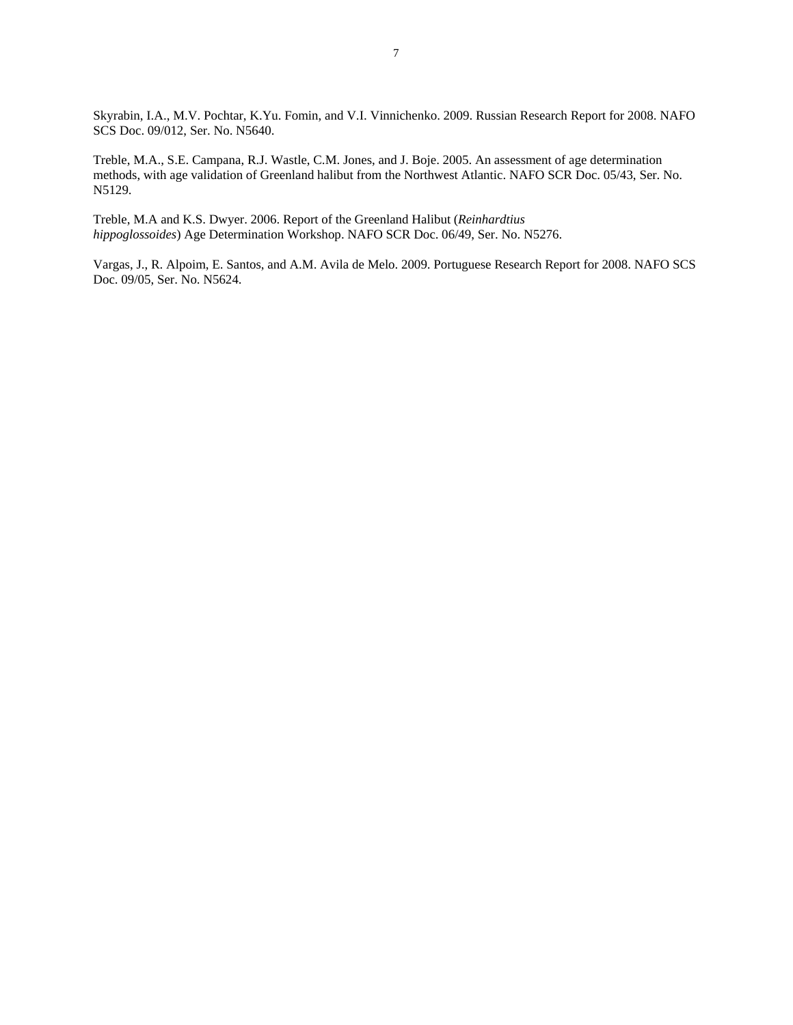Skyrabin, I.A., M.V. Pochtar, K.Yu. Fomin, and V.I. Vinnichenko. 2009. Russian Research Report for 2008. NAFO SCS Doc. 09/012, Ser. No. N5640.

Treble, M.A., S.E. Campana, R.J. Wastle, C.M. Jones, and J. Boje. 2005. An assessment of age determination methods, with age validation of Greenland halibut from the Northwest Atlantic. NAFO SCR Doc. 05/43, Ser. No. N5129.

Treble, M.A and K.S. Dwyer. 2006. Report of the Greenland Halibut (*Reinhardtius hippoglossoides*) Age Determination Workshop. NAFO SCR Doc. 06/49, Ser. No. N5276.

Vargas, J., R. Alpoim, E. Santos, and A.M. Avila de Melo. 2009. Portuguese Research Report for 2008. NAFO SCS Doc. 09/05, Ser. No. N5624.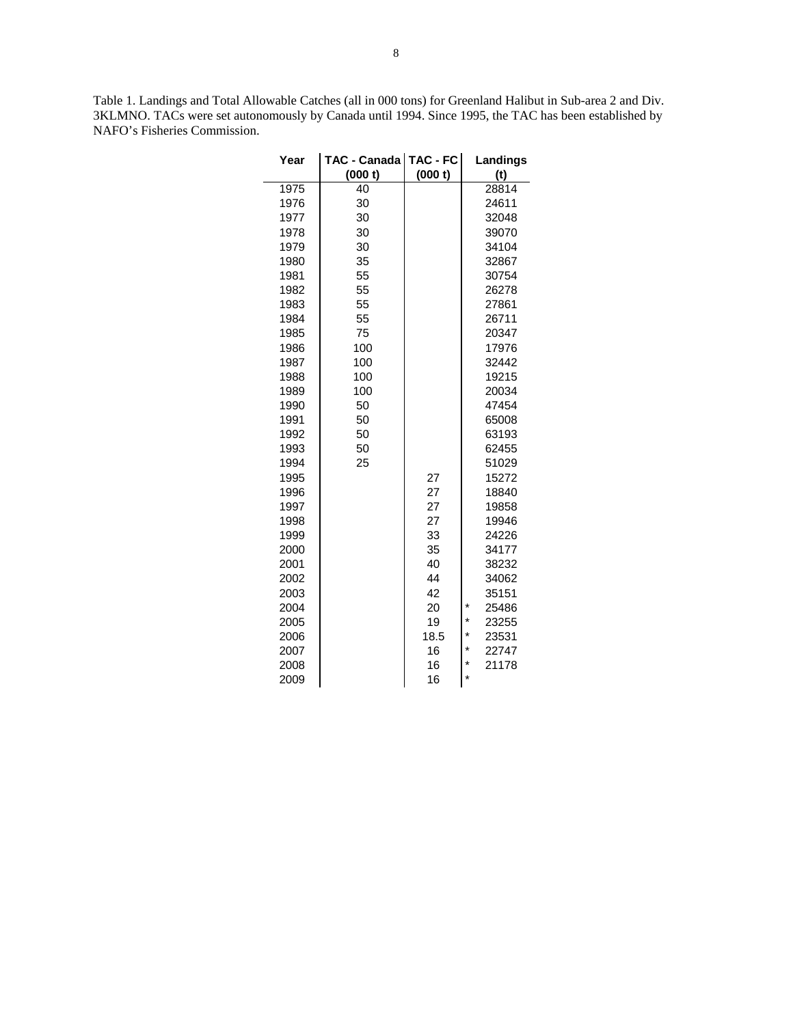Table 1. Landings and Total Allowable Catches (all in 000 tons) for Greenland Halibut in Sub-area 2 and Div. 3KLMNO. TACs were set autonomously by Canada until 1994. Since 1995, the TAC has been established by NAFO's Fisheries Commission.

| Year | TAC - Canada | $TAC - FC$ | Landings         |
|------|--------------|------------|------------------|
|      | (000 t)      | (000 t)    | (t)              |
| 1975 | 40           |            | 28814            |
| 1976 | 30           |            | 24611            |
| 1977 | 30           |            | 32048            |
| 1978 | 30           |            | 39070            |
| 1979 | 30           |            | 34104            |
| 1980 | 35           |            | 32867            |
| 1981 | 55           |            | 30754            |
| 1982 | 55           |            | 26278            |
| 1983 | 55           |            | 27861            |
| 1984 | 55           |            | 26711            |
| 1985 | 75           |            | 20347            |
| 1986 | 100          |            | 17976            |
| 1987 | 100          |            | 32442            |
| 1988 | 100          |            | 19215            |
| 1989 | 100          |            | 20034            |
| 1990 | 50           |            | 47454            |
| 1991 | 50           |            | 65008            |
| 1992 | 50           |            | 63193            |
| 1993 | 50           |            | 62455            |
| 1994 | 25           |            | 51029            |
| 1995 |              | 27         | 15272            |
| 1996 |              | 27         | 18840            |
| 1997 |              | 27         | 19858            |
| 1998 |              | 27         | 19946            |
| 1999 |              | 33         | 24226            |
| 2000 |              | 35         | 34177            |
| 2001 |              | 40         | 38232            |
| 2002 |              | 44         | 34062            |
| 2003 |              | 42         | 35151            |
| 2004 |              | 20         | *<br>25486       |
| 2005 |              | 19         | *<br>23255       |
| 2006 |              | 18.5       | *<br>23531       |
| 2007 |              | 16         | *<br>22747       |
| 2008 |              | 16         | $\star$<br>21178 |
| 2009 |              | 16         | $\star$          |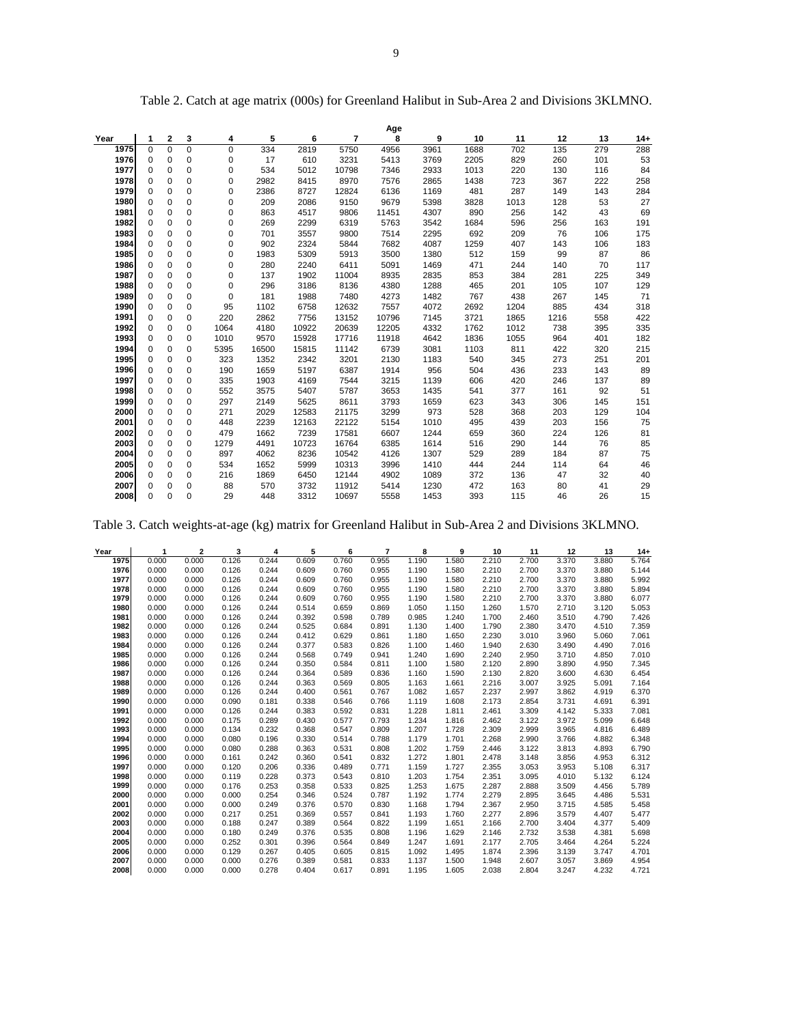|      |             |              |          |      |       |       |                | Age   |      |      |      |      |     |       |
|------|-------------|--------------|----------|------|-------|-------|----------------|-------|------|------|------|------|-----|-------|
| Year | 1           | $\mathbf{2}$ | 3        | 4    | 5     | 6     | $\overline{7}$ | 8     | 9    | 10   | 11   | 12   | 13  | $14+$ |
| 1975 | 0           | $\Omega$     | 0        | 0    | 334   | 2819  | 5750           | 4956  | 3961 | 1688 | 702  | 135  | 279 | 288   |
| 1976 | 0           | $\mathbf 0$  | 0        | 0    | 17    | 610   | 3231           | 5413  | 3769 | 2205 | 829  | 260  | 101 | 53    |
| 1977 | 0           | 0            | 0        | 0    | 534   | 5012  | 10798          | 7346  | 2933 | 1013 | 220  | 130  | 116 | 84    |
| 1978 | 0           | $\mathbf 0$  | 0        | 0    | 2982  | 8415  | 8970           | 7576  | 2865 | 1438 | 723  | 367  | 222 | 258   |
| 1979 | 0           | $\mathbf 0$  | 0        | 0    | 2386  | 8727  | 12824          | 6136  | 1169 | 481  | 287  | 149  | 143 | 284   |
| 1980 | 0           | $\mathbf 0$  | 0        | 0    | 209   | 2086  | 9150           | 9679  | 5398 | 3828 | 1013 | 128  | 53  | 27    |
| 1981 | 0           | $\mathbf 0$  | 0        | 0    | 863   | 4517  | 9806           | 11451 | 4307 | 890  | 256  | 142  | 43  | 69    |
| 1982 | $\mathbf 0$ | $\mathbf 0$  | 0        | 0    | 269   | 2299  | 6319           | 5763  | 3542 | 1684 | 596  | 256  | 163 | 191   |
| 1983 | 0           | $\mathbf 0$  | 0        | 0    | 701   | 3557  | 9800           | 7514  | 2295 | 692  | 209  | 76   | 106 | 175   |
| 1984 | 0           | $\mathbf 0$  | 0        | 0    | 902   | 2324  | 5844           | 7682  | 4087 | 1259 | 407  | 143  | 106 | 183   |
| 1985 | 0           | $\mathbf 0$  | 0        | 0    | 1983  | 5309  | 5913           | 3500  | 1380 | 512  | 159  | 99   | 87  | 86    |
| 1986 | 0           | $\mathbf 0$  | 0        | 0    | 280   | 2240  | 6411           | 5091  | 1469 | 471  | 244  | 140  | 70  | 117   |
| 1987 | 0           | $\mathbf 0$  | 0        | 0    | 137   | 1902  | 11004          | 8935  | 2835 | 853  | 384  | 281  | 225 | 349   |
| 1988 | 0           | $\mathbf 0$  | 0        | 0    | 296   | 3186  | 8136           | 4380  | 1288 | 465  | 201  | 105  | 107 | 129   |
| 1989 | 0           | $\mathbf 0$  | 0        | 0    | 181   | 1988  | 7480           | 4273  | 1482 | 767  | 438  | 267  | 145 | 71    |
| 1990 | 0           | $\mathbf 0$  | 0        | 95   | 1102  | 6758  | 12632          | 7557  | 4072 | 2692 | 1204 | 885  | 434 | 318   |
| 1991 | 0           | $\mathbf 0$  | 0        | 220  | 2862  | 7756  | 13152          | 10796 | 7145 | 3721 | 1865 | 1216 | 558 | 422   |
| 1992 | 0           | $\mathbf 0$  | 0        | 1064 | 4180  | 10922 | 20639          | 12205 | 4332 | 1762 | 1012 | 738  | 395 | 335   |
| 1993 | 0           | $\mathbf 0$  | 0        | 1010 | 9570  | 15928 | 17716          | 11918 | 4642 | 1836 | 1055 | 964  | 401 | 182   |
| 1994 | 0           | $\mathbf 0$  | 0        | 5395 | 16500 | 15815 | 11142          | 6739  | 3081 | 1103 | 811  | 422  | 320 | 215   |
| 1995 | 0           | $\mathbf 0$  | 0        | 323  | 1352  | 2342  | 3201           | 2130  | 1183 | 540  | 345  | 273  | 251 | 201   |
| 1996 | 0           | $\mathbf 0$  | 0        | 190  | 1659  | 5197  | 6387           | 1914  | 956  | 504  | 436  | 233  | 143 | 89    |
| 1997 | 0           | $\mathbf 0$  | 0        | 335  | 1903  | 4169  | 7544           | 3215  | 1139 | 606  | 420  | 246  | 137 | 89    |
| 1998 | 0           | $\mathbf 0$  | 0        | 552  | 3575  | 5407  | 5787           | 3653  | 1435 | 541  | 377  | 161  | 92  | 51    |
| 1999 | 0           | $\mathbf 0$  | 0        | 297  | 2149  | 5625  | 8611           | 3793  | 1659 | 623  | 343  | 306  | 145 | 151   |
| 2000 | 0           | $\mathbf 0$  | 0        | 271  | 2029  | 12583 | 21175          | 3299  | 973  | 528  | 368  | 203  | 129 | 104   |
| 2001 | 0           | $\mathbf 0$  | 0        | 448  | 2239  | 12163 | 22122          | 5154  | 1010 | 495  | 439  | 203  | 156 | 75    |
| 2002 | 0           | $\mathbf 0$  | 0        | 479  | 1662  | 7239  | 17581          | 6607  | 1244 | 659  | 360  | 224  | 126 | 81    |
| 2003 | 0           | $\mathbf 0$  | 0        | 1279 | 4491  | 10723 | 16764          | 6385  | 1614 | 516  | 290  | 144  | 76  | 85    |
| 2004 | 0           | $\mathbf 0$  | 0        | 897  | 4062  | 8236  | 10542          | 4126  | 1307 | 529  | 289  | 184  | 87  | 75    |
| 2005 | 0           | $\mathbf 0$  | 0        | 534  | 1652  | 5999  | 10313          | 3996  | 1410 | 444  | 244  | 114  | 64  | 46    |
| 2006 | 0           | $\mathbf 0$  | 0        | 216  | 1869  | 6450  | 12144          | 4902  | 1089 | 372  | 136  | 47   | 32  | 40    |
| 2007 | 0           | $\mathbf 0$  | 0        | 88   | 570   | 3732  | 11912          | 5414  | 1230 | 472  | 163  | 80   | 41  | 29    |
| 2008 | $\Omega$    | $\Omega$     | $\Omega$ | 29   | 448   | 3312  | 10697          | 5558  | 1453 | 393  | 115  | 46   | 26  | 15    |

Table 2. Catch at age matrix (000s) for Greenland Halibut in Sub-Area 2 and Divisions 3KLMNO.

Table 3. Catch weights-at-age (kg) matrix for Greenland Halibut in Sub-Area 2 and Divisions 3KLMNO.

| Year | 1     | $\mathbf{2}$ | 3     | 4     | 5     | 6     | 7     | 8     | 9     | 10    | 11    | 12    | 13    | $14 +$ |
|------|-------|--------------|-------|-------|-------|-------|-------|-------|-------|-------|-------|-------|-------|--------|
| 1975 | 0.000 | 0.000        | 0.126 | 0.244 | 0.609 | 0.760 | 0.955 | 1.190 | 1.580 | 2.210 | 2.700 | 3.370 | 3.880 | 5.764  |
| 1976 | 0.000 | 0.000        | 0.126 | 0.244 | 0.609 | 0.760 | 0.955 | 1.190 | 1.580 | 2.210 | 2.700 | 3.370 | 3.880 | 5.144  |
| 1977 | 0.000 | 0.000        | 0.126 | 0.244 | 0.609 | 0.760 | 0.955 | 1.190 | 1.580 | 2.210 | 2.700 | 3.370 | 3.880 | 5.992  |
| 1978 | 0.000 | 0.000        | 0.126 | 0.244 | 0.609 | 0.760 | 0.955 | 1.190 | 1.580 | 2.210 | 2.700 | 3.370 | 3.880 | 5.894  |
| 1979 | 0.000 | 0.000        | 0.126 | 0.244 | 0.609 | 0.760 | 0.955 | 1.190 | 1.580 | 2.210 | 2.700 | 3.370 | 3.880 | 6.077  |
| 1980 | 0.000 | 0.000        | 0.126 | 0.244 | 0.514 | 0.659 | 0.869 | 1.050 | 1.150 | 1.260 | 1.570 | 2.710 | 3.120 | 5.053  |
| 1981 | 0.000 | 0.000        | 0.126 | 0.244 | 0.392 | 0.598 | 0.789 | 0.985 | 1.240 | 1.700 | 2.460 | 3.510 | 4.790 | 7.426  |
| 1982 | 0.000 | 0.000        | 0.126 | 0.244 | 0.525 | 0.684 | 0.891 | 1.130 | 1.400 | 1.790 | 2.380 | 3.470 | 4.510 | 7.359  |
| 1983 | 0.000 | 0.000        | 0.126 | 0.244 | 0.412 | 0.629 | 0.861 | 1.180 | 1.650 | 2.230 | 3.010 | 3.960 | 5.060 | 7.061  |
| 1984 | 0.000 | 0.000        | 0.126 | 0.244 | 0.377 | 0.583 | 0.826 | 1.100 | 1.460 | 1.940 | 2.630 | 3.490 | 4.490 | 7.016  |
| 1985 | 0.000 | 0.000        | 0.126 | 0.244 | 0.568 | 0.749 | 0.941 | 1.240 | 1.690 | 2.240 | 2.950 | 3.710 | 4.850 | 7.010  |
| 1986 | 0.000 | 0.000        | 0.126 | 0.244 | 0.350 | 0.584 | 0.811 | 1.100 | 1.580 | 2.120 | 2.890 | 3.890 | 4.950 | 7.345  |
| 1987 | 0.000 | 0.000        | 0.126 | 0.244 | 0.364 | 0.589 | 0.836 | 1.160 | 1.590 | 2.130 | 2.820 | 3.600 | 4.630 | 6.454  |
| 1988 | 0.000 | 0.000        | 0.126 | 0.244 | 0.363 | 0.569 | 0.805 | 1.163 | 1.661 | 2.216 | 3.007 | 3.925 | 5.091 | 7.164  |
| 1989 | 0.000 | 0.000        | 0.126 | 0.244 | 0.400 | 0.561 | 0.767 | 1.082 | 1.657 | 2.237 | 2.997 | 3.862 | 4.919 | 6.370  |
| 1990 | 0.000 | 0.000        | 0.090 | 0.181 | 0.338 | 0.546 | 0.766 | 1.119 | 1.608 | 2.173 | 2.854 | 3.731 | 4.691 | 6.391  |
| 1991 | 0.000 | 0.000        | 0.126 | 0.244 | 0.383 | 0.592 | 0.831 | 1.228 | 1.811 | 2.461 | 3.309 | 4.142 | 5.333 | 7.081  |
| 1992 | 0.000 | 0.000        | 0.175 | 0.289 | 0.430 | 0.577 | 0.793 | 1.234 | 1.816 | 2.462 | 3.122 | 3.972 | 5.099 | 6.648  |
| 1993 | 0.000 | 0.000        | 0.134 | 0.232 | 0.368 | 0.547 | 0.809 | 1.207 | 1.728 | 2.309 | 2.999 | 3.965 | 4.816 | 6.489  |
| 1994 | 0.000 | 0.000        | 0.080 | 0.196 | 0.330 | 0.514 | 0.788 | 1.179 | 1.701 | 2.268 | 2.990 | 3.766 | 4.882 | 6.348  |
| 1995 | 0.000 | 0.000        | 0.080 | 0.288 | 0.363 | 0.531 | 0.808 | 1.202 | 1.759 | 2.446 | 3.122 | 3.813 | 4.893 | 6.790  |
| 1996 | 0.000 | 0.000        | 0.161 | 0.242 | 0.360 | 0.541 | 0.832 | 1.272 | 1.801 | 2.478 | 3.148 | 3.856 | 4.953 | 6.312  |
| 1997 | 0.000 | 0.000        | 0.120 | 0.206 | 0.336 | 0.489 | 0.771 | 1.159 | 1.727 | 2.355 | 3.053 | 3.953 | 5.108 | 6.317  |
| 1998 | 0.000 | 0.000        | 0.119 | 0.228 | 0.373 | 0.543 | 0.810 | 1.203 | 1.754 | 2.351 | 3.095 | 4.010 | 5.132 | 6.124  |
| 1999 | 0.000 | 0.000        | 0.176 | 0.253 | 0.358 | 0.533 | 0.825 | 1.253 | 1.675 | 2.287 | 2.888 | 3.509 | 4.456 | 5.789  |
| 2000 | 0.000 | 0.000        | 0.000 | 0.254 | 0.346 | 0.524 | 0.787 | 1.192 | 1.774 | 2.279 | 2.895 | 3.645 | 4.486 | 5.531  |
| 2001 | 0.000 | 0.000        | 0.000 | 0.249 | 0.376 | 0.570 | 0.830 | 1.168 | 1.794 | 2.367 | 2.950 | 3.715 | 4.585 | 5.458  |
| 2002 | 0.000 | 0.000        | 0.217 | 0.251 | 0.369 | 0.557 | 0.841 | 1.193 | 1.760 | 2.277 | 2.896 | 3.579 | 4.407 | 5.477  |
| 2003 | 0.000 | 0.000        | 0.188 | 0.247 | 0.389 | 0.564 | 0.822 | 1.199 | 1.651 | 2.166 | 2.700 | 3.404 | 4.377 | 5.409  |
| 2004 | 0.000 | 0.000        | 0.180 | 0.249 | 0.376 | 0.535 | 0.808 | 1.196 | 1.629 | 2.146 | 2.732 | 3.538 | 4.381 | 5.698  |
| 2005 | 0.000 | 0.000        | 0.252 | 0.301 | 0.396 | 0.564 | 0.849 | 1.247 | 1.691 | 2.177 | 2.705 | 3.464 | 4.264 | 5.224  |
| 2006 | 0.000 | 0.000        | 0.129 | 0.267 | 0.405 | 0.605 | 0.815 | 1.092 | 1.495 | 1.874 | 2.396 | 3.139 | 3.747 | 4.701  |
| 2007 | 0.000 | 0.000        | 0.000 | 0.276 | 0.389 | 0.581 | 0.833 | 1.137 | 1.500 | 1.948 | 2.607 | 3.057 | 3.869 | 4.954  |
| 2008 | 0.000 | 0.000        | 0.000 | 0.278 | 0.404 | 0.617 | 0.891 | 1.195 | 1.605 | 2.038 | 2.804 | 3.247 | 4.232 | 4.721  |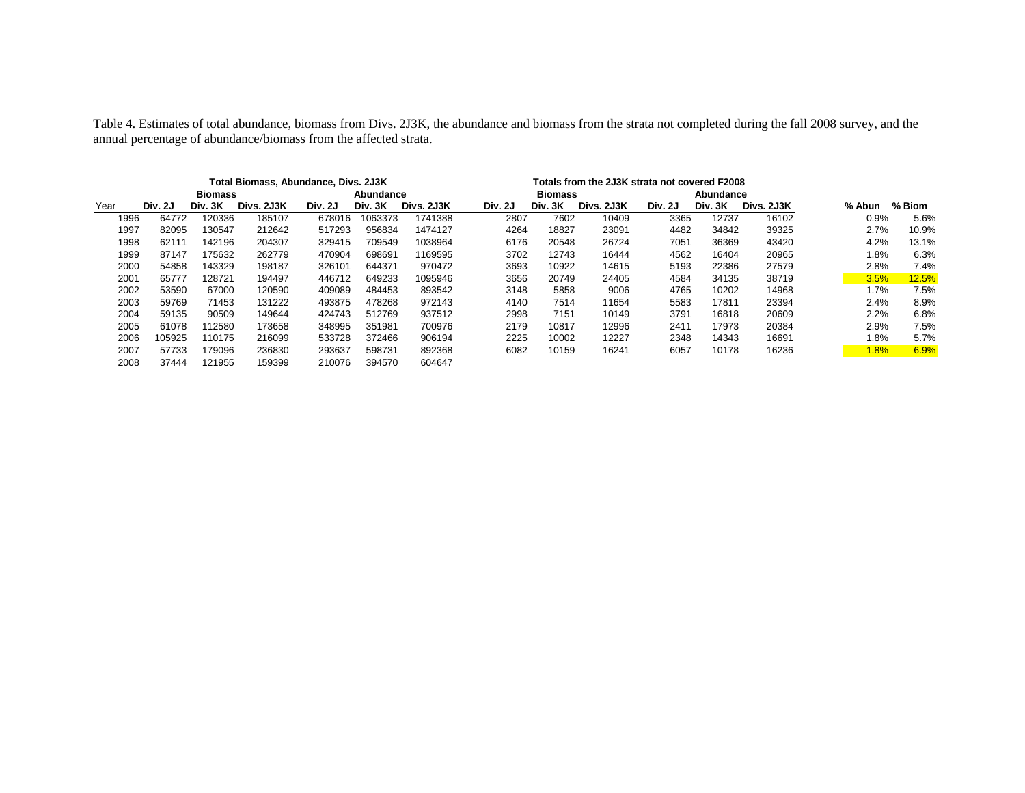Table 4. Estimates of total abundance, biomass from Divs. 2J3K, the abundance and biomass from the strata not completed during the fall 2008 survey, and the annual percentage of abundance/biomass from the affected strata.

|      | Total Biomass, Abundance, Divs. 2J3K |         |            |         |           |            |         | Totals from the 2J3K strata not covered F2008 |            |         |         |            |         |        |
|------|--------------------------------------|---------|------------|---------|-----------|------------|---------|-----------------------------------------------|------------|---------|---------|------------|---------|--------|
|      |                                      | Biomass |            |         | Abundance |            |         | Biomass<br>Abundance                          |            |         |         |            |         |        |
| Year | Div. 2J                              | Div. 3K | Divs. 2J3K | Div. 2J | Div. 3K   | Divs. 2J3K | Div. 2J | Div. 3K                                       | Divs. 2J3K | Div. 2J | Div. 3K | Divs. 2J3K | % Abun  | % Biom |
| 1996 | 64772                                | 120336  | 185107     | 678016  | 1063373   | 1741388    | 2807    | 7602                                          | 10409      | 3365    | 12737   | 16102      | 0.9%    | 5.6%   |
| 1997 | 82095                                | 130547  | 212642     | 517293  | 956834    | 1474127    | 4264    | 18827                                         | 23091      | 4482    | 34842   | 39325      | 2.7%    | 10.9%  |
| 1998 | 62111                                | 142196  | 204307     | 329415  | 709549    | 1038964    | 6176    | 20548                                         | 26724      | 7051    | 36369   | 43420      | 4.2%    | 13.1%  |
| 1999 | 87147                                | 175632  | 262779     | 470904  | 698691    | 1169595    | 3702    | 12743                                         | 16444      | 4562    | 16404   | 20965      | $1.8\%$ | 6.3%   |
| 2000 | 54858                                | 143329  | 198187     | 326101  | 644371    | 970472     | 3693    | 10922                                         | 14615      | 5193    | 22386   | 27579      | 2.8%    | 7.4%   |
| 2001 | 65777                                | 128721  | 194497     | 446712  | 649233    | 1095946    | 3656    | 20749                                         | 24405      | 4584    | 34135   | 38719      | 3.5%    | 12.5%  |
| 2002 | 53590                                | 67000   | 120590     | 409089  | 484453    | 893542     | 3148    | 5858                                          | 9006       | 4765    | 10202   | 14968      | 1.7%    | 7.5%   |
| 2003 | 59769                                | 71453   | 131222     | 493875  | 478268    | 972143     | 4140    | 7514                                          | 11654      | 5583    | 17811   | 23394      | 2.4%    | 8.9%   |
| 2004 | 59135                                | 90509   | 149644     | 424743  | 512769    | 937512     | 2998    | 7151                                          | 10149      | 3791    | 16818   | 20609      | 2.2%    | 6.8%   |
| 2005 | 61078                                | 112580  | 173658     | 348995  | 351981    | 700976     | 2179    | 10817                                         | 12996      | 2411    | 17973   | 20384      | 2.9%    | 7.5%   |
| 2006 | 105925                               | 110175  | 216099     | 533728  | 372466    | 906194     | 2225    | 10002                                         | 12227      | 2348    | 14343   | 16691      | 1.8%    | 5.7%   |
| 2007 | 57733                                | 179096  | 236830     | 293637  | 598731    | 892368     | 6082    | 10159                                         | 16241      | 6057    | 10178   | 16236      | $1.8\%$ | 6.9%   |
| 2008 | 37444                                | 121955  | 159399     | 210076  | 394570    | 604647     |         |                                               |            |         |         |            |         |        |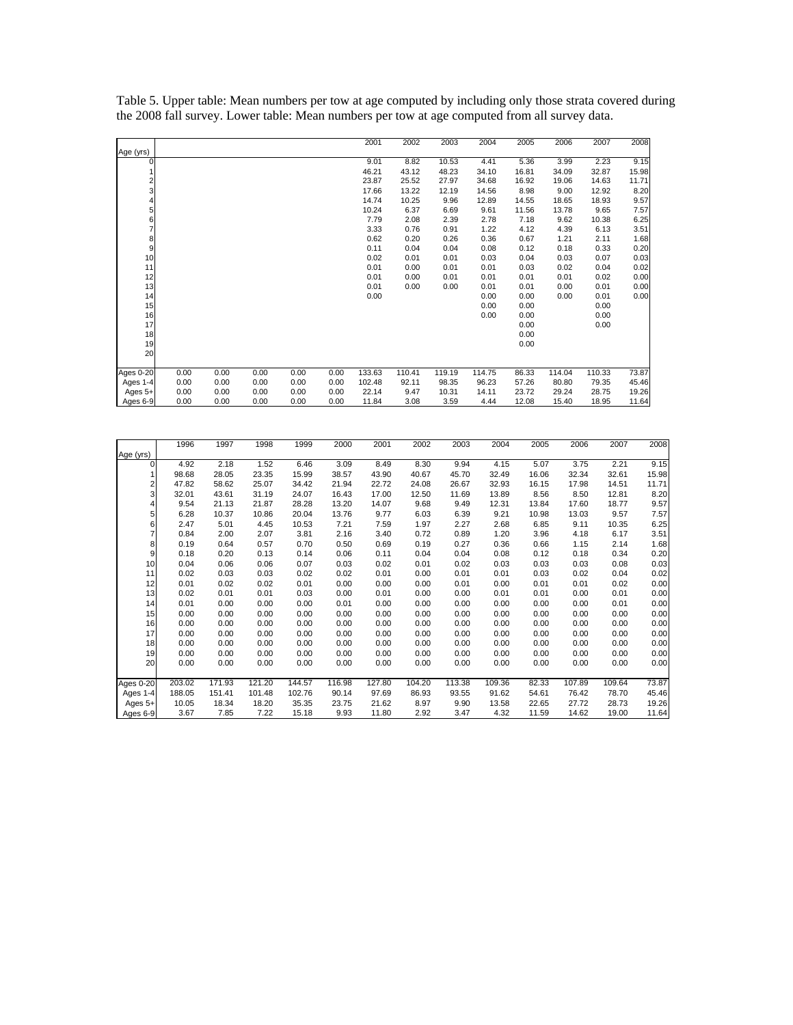|                  |      |      |      |      |      | 2001   | 2002   | 2003   | 2004   | 2005  | 2006   | 2007   | 2008  |
|------------------|------|------|------|------|------|--------|--------|--------|--------|-------|--------|--------|-------|
| Age (yrs)        |      |      |      |      |      |        |        |        |        |       |        |        |       |
| 0                |      |      |      |      |      | 9.01   | 8.82   | 10.53  | 4.41   | 5.36  | 3.99   | 2.23   | 9.15  |
|                  |      |      |      |      |      | 46.21  | 43.12  | 48.23  | 34.10  | 16.81 | 34.09  | 32.87  | 15.98 |
| 2                |      |      |      |      |      | 23.87  | 25.52  | 27.97  | 34.68  | 16.92 | 19.06  | 14.63  | 11.71 |
| 3                |      |      |      |      |      | 17.66  | 13.22  | 12.19  | 14.56  | 8.98  | 9.00   | 12.92  | 8.20  |
|                  |      |      |      |      |      | 14.74  | 10.25  | 9.96   | 12.89  | 14.55 | 18.65  | 18.93  | 9.57  |
| 5                |      |      |      |      |      | 10.24  | 6.37   | 6.69   | 9.61   | 11.56 | 13.78  | 9.65   | 7.57  |
| 6                |      |      |      |      |      | 7.79   | 2.08   | 2.39   | 2.78   | 7.18  | 9.62   | 10.38  | 6.25  |
| 7                |      |      |      |      |      | 3.33   | 0.76   | 0.91   | 1.22   | 4.12  | 4.39   | 6.13   | 3.51  |
| 8                |      |      |      |      |      | 0.62   | 0.20   | 0.26   | 0.36   | 0.67  | 1.21   | 2.11   | 1.68  |
| 9                |      |      |      |      |      | 0.11   | 0.04   | 0.04   | 0.08   | 0.12  | 0.18   | 0.33   | 0.20  |
| 10               |      |      |      |      |      | 0.02   | 0.01   | 0.01   | 0.03   | 0.04  | 0.03   | 0.07   | 0.03  |
| 11               |      |      |      |      |      | 0.01   | 0.00   | 0.01   | 0.01   | 0.03  | 0.02   | 0.04   | 0.02  |
| 12               |      |      |      |      |      | 0.01   | 0.00   | 0.01   | 0.01   | 0.01  | 0.01   | 0.02   | 0.00  |
| 13               |      |      |      |      |      | 0.01   | 0.00   | 0.00   | 0.01   | 0.01  | 0.00   | 0.01   | 0.00  |
| 14               |      |      |      |      |      | 0.00   |        |        | 0.00   | 0.00  | 0.00   | 0.01   | 0.00  |
| 15               |      |      |      |      |      |        |        |        | 0.00   | 0.00  |        | 0.00   |       |
| 16               |      |      |      |      |      |        |        |        | 0.00   | 0.00  |        | 0.00   |       |
| 17               |      |      |      |      |      |        |        |        |        | 0.00  |        | 0.00   |       |
| 18               |      |      |      |      |      |        |        |        |        | 0.00  |        |        |       |
| 19               |      |      |      |      |      |        |        |        |        | 0.00  |        |        |       |
| 20               |      |      |      |      |      |        |        |        |        |       |        |        |       |
|                  |      |      |      |      |      |        |        |        |        |       |        |        |       |
| <b>Ages 0-20</b> | 0.00 | 0.00 | 0.00 | 0.00 | 0.00 | 133.63 | 110.41 | 119.19 | 114.75 | 86.33 | 114.04 | 110.33 | 73.87 |
| Ages 1-4         | 0.00 | 0.00 | 0.00 | 0.00 | 0.00 | 102.48 | 92.11  | 98.35  | 96.23  | 57.26 | 80.80  | 79.35  | 45.46 |
| Ages 5+          | 0.00 | 0.00 | 0.00 | 0.00 | 0.00 | 22.14  | 9.47   | 10.31  | 14.11  | 23.72 | 29.24  | 28.75  | 19.26 |
| Ages 6-9         | 0.00 | 0.00 | 0.00 | 0.00 | 0.00 | 11.84  | 3.08   | 3.59   | 4.44   | 12.08 | 15.40  | 18.95  | 11.64 |

Table 5. Upper table: Mean numbers per tow at age computed by including only those strata covered during the 2008 fall survey. Lower table: Mean numbers per tow at age computed from all survey data.

|           | 1996   | 1997   | 1998   | 1999   | 2000   | 2001   | 2002   | 2003   | 2004   | 2005  | 2006   | 2007   | 2008  |
|-----------|--------|--------|--------|--------|--------|--------|--------|--------|--------|-------|--------|--------|-------|
| Age (yrs) |        |        |        |        |        |        |        |        |        |       |        |        |       |
| 0         | 4.92   | 2.18   | 1.52   | 6.46   | 3.09   | 8.49   | 8.30   | 9.94   | 4.15   | 5.07  | 3.75   | 2.21   | 9.15  |
| 1         | 98.68  | 28.05  | 23.35  | 15.99  | 38.57  | 43.90  | 40.67  | 45.70  | 32.49  | 16.06 | 32.34  | 32.61  | 15.98 |
| 2         | 47.82  | 58.62  | 25.07  | 34.42  | 21.94  | 22.72  | 24.08  | 26.67  | 32.93  | 16.15 | 17.98  | 14.51  | 11.71 |
| 3         | 32.01  | 43.61  | 31.19  | 24.07  | 16.43  | 17.00  | 12.50  | 11.69  | 13.89  | 8.56  | 8.50   | 12.81  | 8.20  |
| 4         | 9.54   | 21.13  | 21.87  | 28.28  | 13.20  | 14.07  | 9.68   | 9.49   | 12.31  | 13.84 | 17.60  | 18.77  | 9.57  |
| 5         | 6.28   | 10.37  | 10.86  | 20.04  | 13.76  | 9.77   | 6.03   | 6.39   | 9.21   | 10.98 | 13.03  | 9.57   | 7.57  |
| 6         | 2.47   | 5.01   | 4.45   | 10.53  | 7.21   | 7.59   | 1.97   | 2.27   | 2.68   | 6.85  | 9.11   | 10.35  | 6.25  |
| 7         | 0.84   | 2.00   | 2.07   | 3.81   | 2.16   | 3.40   | 0.72   | 0.89   | 1.20   | 3.96  | 4.18   | 6.17   | 3.51  |
| 8         | 0.19   | 0.64   | 0.57   | 0.70   | 0.50   | 0.69   | 0.19   | 0.27   | 0.36   | 0.66  | 1.15   | 2.14   | 1.68  |
| 9         | 0.18   | 0.20   | 0.13   | 0.14   | 0.06   | 0.11   | 0.04   | 0.04   | 0.08   | 0.12  | 0.18   | 0.34   | 0.20  |
| 10        | 0.04   | 0.06   | 0.06   | 0.07   | 0.03   | 0.02   | 0.01   | 0.02   | 0.03   | 0.03  | 0.03   | 0.08   | 0.03  |
| 11        | 0.02   | 0.03   | 0.03   | 0.02   | 0.02   | 0.01   | 0.00   | 0.01   | 0.01   | 0.03  | 0.02   | 0.04   | 0.02  |
| 12        | 0.01   | 0.02   | 0.02   | 0.01   | 0.00   | 0.00   | 0.00   | 0.01   | 0.00   | 0.01  | 0.01   | 0.02   | 0.00  |
| 13        | 0.02   | 0.01   | 0.01   | 0.03   | 0.00   | 0.01   | 0.00   | 0.00   | 0.01   | 0.01  | 0.00   | 0.01   | 0.00  |
| 14        | 0.01   | 0.00   | 0.00   | 0.00   | 0.01   | 0.00   | 0.00   | 0.00   | 0.00   | 0.00  | 0.00   | 0.01   | 0.00  |
| 15        | 0.00   | 0.00   | 0.00   | 0.00   | 0.00   | 0.00   | 0.00   | 0.00   | 0.00   | 0.00  | 0.00   | 0.00   | 0.00  |
| 16        | 0.00   | 0.00   | 0.00   | 0.00   | 0.00   | 0.00   | 0.00   | 0.00   | 0.00   | 0.00  | 0.00   | 0.00   | 0.00  |
| 17        | 0.00   | 0.00   | 0.00   | 0.00   | 0.00   | 0.00   | 0.00   | 0.00   | 0.00   | 0.00  | 0.00   | 0.00   | 0.00  |
| 18        | 0.00   | 0.00   | 0.00   | 0.00   | 0.00   | 0.00   | 0.00   | 0.00   | 0.00   | 0.00  | 0.00   | 0.00   | 0.00  |
| 19        | 0.00   | 0.00   | 0.00   | 0.00   | 0.00   | 0.00   | 0.00   | 0.00   | 0.00   | 0.00  | 0.00   | 0.00   | 0.00  |
| 20        | 0.00   | 0.00   | 0.00   | 0.00   | 0.00   | 0.00   | 0.00   | 0.00   | 0.00   | 0.00  | 0.00   | 0.00   | 0.00  |
|           |        |        |        |        |        |        |        |        |        |       |        |        |       |
| Ages 0-20 | 203.02 | 171.93 | 121.20 | 144.57 | 116.98 | 127.80 | 104.20 | 113.38 | 109.36 | 82.33 | 107.89 | 109.64 | 73.87 |
| Ages 1-4  | 188.05 | 151.41 | 101.48 | 102.76 | 90.14  | 97.69  | 86.93  | 93.55  | 91.62  | 54.61 | 76.42  | 78.70  | 45.46 |
| Ages $5+$ | 10.05  | 18.34  | 18.20  | 35.35  | 23.75  | 21.62  | 8.97   | 9.90   | 13.58  | 22.65 | 27.72  | 28.73  | 19.26 |
| Ages 6-9  | 3.67   | 7.85   | 7.22   | 15.18  | 9.93   | 11.80  | 2.92   | 3.47   | 4.32   | 11.59 | 14.62  | 19.00  | 11.64 |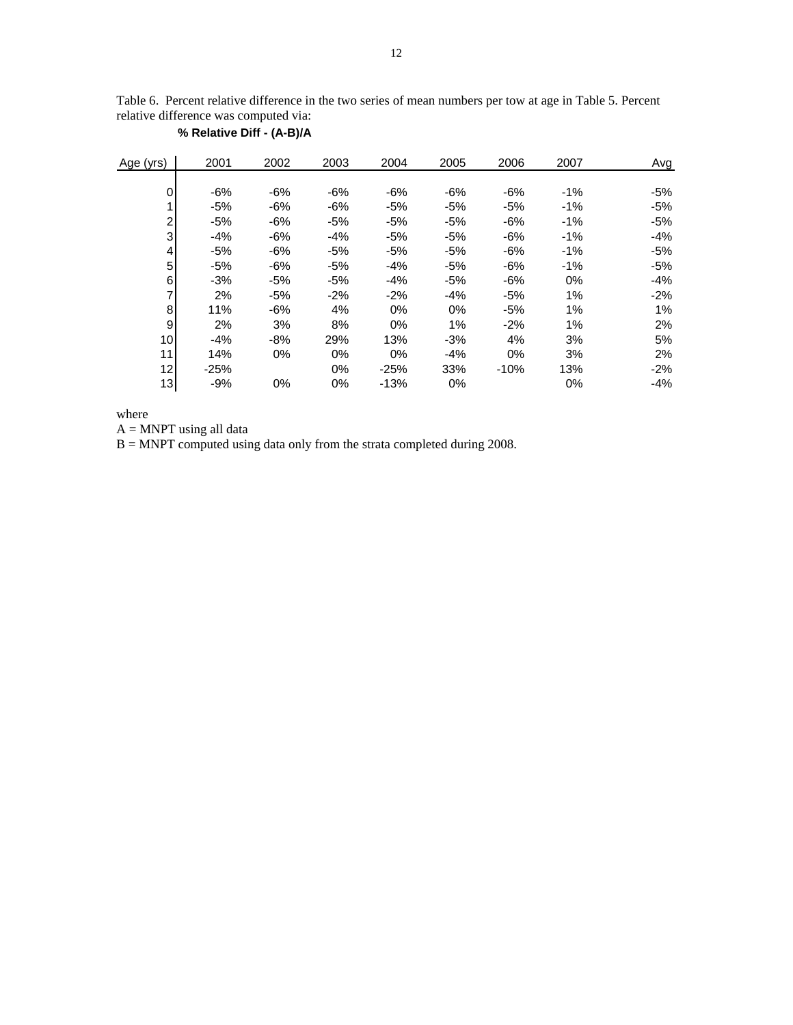Table 6. Percent relative difference in the two series of mean numbers per tow at age in Table 5. Percent relative difference was computed via:

| Age (yrs) | 2001   | 2002  | 2003  | 2004   | 2005  | 2006  | 2007   | Avg    |
|-----------|--------|-------|-------|--------|-------|-------|--------|--------|
|           |        |       |       |        |       |       |        |        |
| 0         | $-6%$  | -6%   | -6%   | $-6%$  | $-6%$ | -6%   | $-1\%$ | -5%    |
| 1         | $-5%$  | -6%   | -6%   | $-5%$  | $-5%$ | $-5%$ | $-1%$  | $-5%$  |
| 2         | $-5%$  | -6%   | -5%   | $-5%$  | $-5%$ | -6%   | $-1\%$ | -5%    |
| 3         | $-4%$  | $-6%$ | $-4%$ | $-5%$  | $-5%$ | $-6%$ | $-1\%$ | $-4%$  |
| 4         | $-5%$  | -6%   | -5%   | $-5%$  | $-5%$ | -6%   | $-1\%$ | -5%    |
| 5         | $-5%$  | -6%   | -5%   | $-4%$  | $-5%$ | -6%   | $-1\%$ | -5%    |
| 6         | $-3%$  | $-5%$ | -5%   | $-4%$  | $-5%$ | $-6%$ | 0%     | -4%    |
| 7         | 2%     | -5%   | $-2%$ | $-2%$  | $-4%$ | $-5%$ | 1%     | -2%    |
| 8         | 11%    | -6%   | 4%    | 0%     | 0%    | $-5%$ | 1%     | 1%     |
| 9         | 2%     | 3%    | 8%    | 0%     | 1%    | $-2%$ | 1%     | 2%     |
| 10        | $-4%$  | $-8%$ | 29%   | 13%    | $-3%$ | 4%    | 3%     | 5%     |
| 11        | 14%    | $0\%$ | $0\%$ | 0%     | $-4%$ | 0%    | 3%     | 2%     |
| 12        | $-25%$ |       | 0%    | $-25%$ | 33%   | -10%  | 13%    | $-2\%$ |
| 13        | $-9%$  | 0%    | $0\%$ | $-13%$ | 0%    |       | $0\%$  | $-4%$  |

**% Relative Diff - (A-B)/A**

where

 $\mathbf{A} = \mathbf{M} \mathbf{N} \mathbf{P} \mathbf{T}$  using all data

B = MNPT computed using data only from the strata completed during 2008.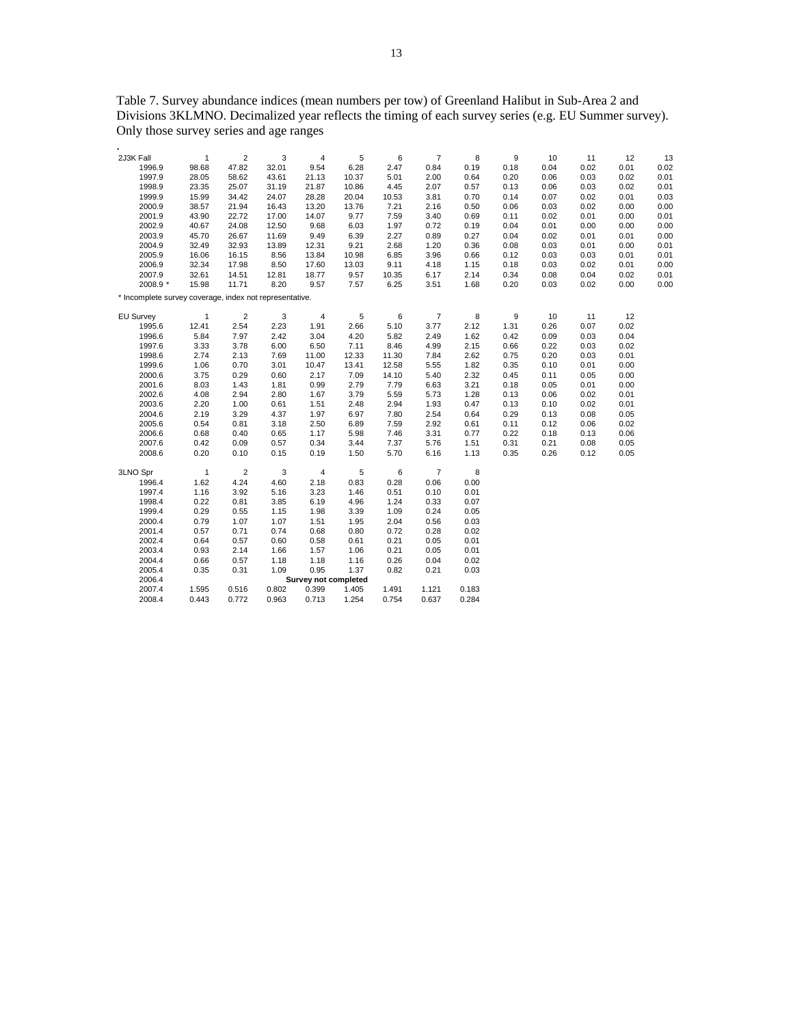Table 7. Survey abundance indices (mean numbers per tow) of Greenland Halibut in Sub-Area 2 and Divisions 3KLMNO. Decimalized year reflects the timing of each survey series (e.g. EU Summer survey). Only those survey series and age ranges

| $\overline{2}$<br>2J3K Fall<br>1<br>3<br>4<br>5<br>6<br>$\overline{7}$<br>8<br>9<br>10<br>12<br>13<br>11<br>47.82<br>32.01<br>9.54<br>6.28<br>2.47<br>0.18<br>0.04<br>0.02<br>0.01<br>0.02<br>1996.9<br>98.68<br>0.84<br>0.19<br>1997.9<br>58.62<br>10.37<br>5.01<br>0.20<br>0.03<br>0.02<br>0.01<br>28.05<br>43.61<br>21.13<br>2.00<br>0.64<br>0.06<br>0.02<br>0.01<br>1998.9<br>23.35<br>25.07<br>31.19<br>21.87<br>10.86<br>4.45<br>2.07<br>0.57<br>0.13<br>0.06<br>0.03<br>1999.9<br>15.99<br>0.14<br>0.03<br>34.42<br>24.07<br>28.28<br>20.04<br>10.53<br>3.81<br>0.70<br>0.07<br>0.02<br>0.01<br>0.00<br>2000.9<br>38.57<br>21.94<br>13.20<br>13.76<br>7.21<br>2.16<br>0.50<br>0.06<br>0.03<br>0.02<br>0.00<br>16.43<br>2001.9<br>43.90<br>22.72<br>17.00<br>14.07<br>9.77<br>7.59<br>3.40<br>0.69<br>0.11<br>0.02<br>0.01<br>0.00<br>0.01<br>0.04<br>0.00<br>2002.9<br>40.67<br>24.08<br>12.50<br>9.68<br>6.03<br>1.97<br>0.72<br>0.19<br>0.01<br>0.00<br>0.00<br>2003.9<br>45.70<br>26.67<br>11.69<br>9.49<br>6.39<br>2.27<br>0.89<br>0.04<br>0.02<br>0.01<br>0.01<br>0.00<br>0.27<br>2.68<br>2004.9<br>32.49<br>32.93<br>13.89<br>12.31<br>9.21<br>1.20<br>0.36<br>0.08<br>0.03<br>0.01<br>0.00<br>0.01<br>2005.9<br>16.06<br>16.15<br>8.56<br>13.84<br>10.98<br>6.85<br>3.96<br>0.12<br>0.03<br>0.03<br>0.01<br>0.01<br>0.66<br>0.00<br>2006.9<br>32.34<br>17.98<br>8.50<br>17.60<br>13.03<br>9.11<br>4.18<br>1.15<br>0.18<br>0.03<br>0.02<br>0.01<br>2007.9<br>32.61<br>14.51<br>12.81<br>18.77<br>9.57<br>10.35<br>6.17<br>2.14<br>0.34<br>0.08<br>0.04<br>0.02<br>0.01<br>2008.9 *<br>15.98<br>8.20<br>9.57<br>7.57<br>3.51<br>0.20<br>0.02<br>0.00<br>0.00<br>11.71<br>6.25<br>1.68<br>0.03<br>* Incomplete survey coverage, index not representative.<br>$\boldsymbol{7}$<br>$\overline{\mathbf{c}}$<br>3<br>5<br>6<br>8<br>9<br>10<br>12<br><b>EU Survey</b><br>$\mathbf{1}$<br>4<br>11<br>1995.6<br>12.41<br>2.54<br>2.23<br>1.91<br>2.66<br>5.10<br>3.77<br>2.12<br>1.31<br>0.26<br>0.07<br>0.02<br>1996.6<br>5.84<br>7.97<br>3.04<br>4.20<br>5.82<br>1.62<br>0.42<br>0.09<br>0.03<br>0.04<br>2.42<br>2.49<br>1997.6<br>3.33<br>3.78<br>6.00<br>6.50<br>7.11<br>8.46<br>4.99<br>2.15<br>0.66<br>0.22<br>0.03<br>0.02<br>1998.6<br>2.74<br>2.13<br>11.00<br>12.33<br>11.30<br>2.62<br>0.75<br>0.20<br>0.03<br>7.69<br>7.84<br>0.01<br>1999.6<br>0.70<br>3.01<br>12.58<br>5.55<br>1.82<br>0.01<br>0.00<br>1.06<br>10.47<br>13.41<br>0.35<br>0.10<br>2000.6<br>3.75<br>0.29<br>0.60<br>2.17<br>7.09<br>14.10<br>5.40<br>2.32<br>0.45<br>0.11<br>0.05<br>0.00<br>2001.6<br>8.03<br>1.43<br>1.81<br>0.99<br>2.79<br>7.79<br>6.63<br>3.21<br>0.18<br>0.05<br>0.01<br>0.00<br>5.59<br>2002.6<br>4.08<br>2.94<br>2.80<br>1.67<br>3.79<br>5.73<br>1.28<br>0.13<br>0.06<br>0.02<br>0.01<br>2003.6<br>2.20<br>1.51<br>2.94<br>0.13<br>1.00<br>0.61<br>2.48<br>1.93<br>0.47<br>0.10<br>0.02<br>0.01<br>2004.6<br>2.19<br>3.29<br>1.97<br>6.97<br>7.80<br>2.54<br>0.29<br>0.08<br>0.05<br>4.37<br>0.64<br>0.13<br>2005.6<br>0.54<br>0.81<br>3.18<br>2.50<br>6.89<br>2.92<br>0.61<br>0.11<br>0.12<br>0.06<br>0.02<br>7.59<br>2006.6<br>0.68<br>0.40<br>0.65<br>1.17<br>5.98<br>7.46<br>3.31<br>0.77<br>0.22<br>0.18<br>0.13<br>0.06<br>0.34<br>0.31<br>0.08<br>2007.6<br>0.42<br>0.09<br>0.57<br>3.44<br>7.37<br>5.76<br>1.51<br>0.21<br>0.05<br>2008.6<br>0.19<br>5.70<br>0.35<br>0.20<br>0.10<br>0.15<br>1.50<br>6.16<br>1.13<br>0.26<br>0.12<br>0.05<br>$\sqrt{2}$<br>$\,6$<br>$\overline{7}$<br>8<br>$\mathbf{1}$<br>3<br>$\overline{4}$<br>5<br>3LNO Spr<br>1.62<br>4.24<br>0.06<br>0.00<br>1996.4<br>4.60<br>2.18<br>0.83<br>0.28<br>1997.4<br>3.92<br>3.23<br>0.01<br>1.16<br>5.16<br>1.46<br>0.51<br>0.10<br>1998.4<br>6.19<br>1.24<br>0.22<br>0.81<br>3.85<br>4.96<br>0.33<br>0.07<br>1999.4<br>0.29<br>0.55<br>1.15<br>1.98<br>3.39<br>1.09<br>0.24<br>0.05<br>2000.4<br>0.79<br>1.07<br>1.07<br>1.51<br>1.95<br>2.04<br>0.56<br>0.03<br>0.68<br>2001.4<br>0.57<br>0.71<br>0.74<br>0.80<br>0.72<br>0.28<br>0.02<br>2002.4<br>0.58<br>0.64<br>0.57<br>0.60<br>0.61<br>0.21<br>0.05<br>0.01<br>2003.4<br>0.93<br>2.14<br>1.57<br>0.21<br>0.05<br>1.66<br>1.06<br>0.01<br>2004.4<br>0.66<br>0.57<br>1.18<br>1.18<br>1.16<br>0.26<br>0.04<br>0.02<br>1.09<br>0.95<br>2005.4<br>0.35<br>0.31<br>1.37<br>0.82<br>0.21<br>0.03<br>2006.4<br><b>Survey not completed</b><br>2007.4<br>1.595<br>0.516<br>0.802<br>0.399<br>1.405<br>1.491<br>1.121<br>0.183<br>2008.4<br>0.443<br>0.772<br>0.963<br>0.713<br>1.254<br>0.754<br>0.637<br>0.284 |  |  |  |  |  |  |  |
|----------------------------------------------------------------------------------------------------------------------------------------------------------------------------------------------------------------------------------------------------------------------------------------------------------------------------------------------------------------------------------------------------------------------------------------------------------------------------------------------------------------------------------------------------------------------------------------------------------------------------------------------------------------------------------------------------------------------------------------------------------------------------------------------------------------------------------------------------------------------------------------------------------------------------------------------------------------------------------------------------------------------------------------------------------------------------------------------------------------------------------------------------------------------------------------------------------------------------------------------------------------------------------------------------------------------------------------------------------------------------------------------------------------------------------------------------------------------------------------------------------------------------------------------------------------------------------------------------------------------------------------------------------------------------------------------------------------------------------------------------------------------------------------------------------------------------------------------------------------------------------------------------------------------------------------------------------------------------------------------------------------------------------------------------------------------------------------------------------------------------------------------------------------------------------------------------------------------------------------------------------------------------------------------------------------------------------------------------------------------------------------------------------------------------------------------------------------------------------------------------------------------------------------------------------------------------------------------------------------------------------------------------------------------------------------------------------------------------------------------------------------------------------------------------------------------------------------------------------------------------------------------------------------------------------------------------------------------------------------------------------------------------------------------------------------------------------------------------------------------------------------------------------------------------------------------------------------------------------------------------------------------------------------------------------------------------------------------------------------------------------------------------------------------------------------------------------------------------------------------------------------------------------------------------------------------------------------------------------------------------------------------------------------------------------------------------------------------------------------------------------------------------------------------------------------------------------------------------------------------------------------------------------------------------------------------------------------------------------------------------------------------------------------------------------------------------------------------------------------------------------------------------------------------------------------------------------------------------------------------------------------------------------------------------------------------------------------------------------------------------------------------------------------------------------------------------------------------------------------------------------------------------------------------------|--|--|--|--|--|--|--|
|                                                                                                                                                                                                                                                                                                                                                                                                                                                                                                                                                                                                                                                                                                                                                                                                                                                                                                                                                                                                                                                                                                                                                                                                                                                                                                                                                                                                                                                                                                                                                                                                                                                                                                                                                                                                                                                                                                                                                                                                                                                                                                                                                                                                                                                                                                                                                                                                                                                                                                                                                                                                                                                                                                                                                                                                                                                                                                                                                                                                                                                                                                                                                                                                                                                                                                                                                                                                                                                                                                                                                                                                                                                                                                                                                                                                                                                                                                                                                                                                                                                                                                                                                                                                                                                                                                                                                                                                                                                                                                                                                    |  |  |  |  |  |  |  |
|                                                                                                                                                                                                                                                                                                                                                                                                                                                                                                                                                                                                                                                                                                                                                                                                                                                                                                                                                                                                                                                                                                                                                                                                                                                                                                                                                                                                                                                                                                                                                                                                                                                                                                                                                                                                                                                                                                                                                                                                                                                                                                                                                                                                                                                                                                                                                                                                                                                                                                                                                                                                                                                                                                                                                                                                                                                                                                                                                                                                                                                                                                                                                                                                                                                                                                                                                                                                                                                                                                                                                                                                                                                                                                                                                                                                                                                                                                                                                                                                                                                                                                                                                                                                                                                                                                                                                                                                                                                                                                                                                    |  |  |  |  |  |  |  |
|                                                                                                                                                                                                                                                                                                                                                                                                                                                                                                                                                                                                                                                                                                                                                                                                                                                                                                                                                                                                                                                                                                                                                                                                                                                                                                                                                                                                                                                                                                                                                                                                                                                                                                                                                                                                                                                                                                                                                                                                                                                                                                                                                                                                                                                                                                                                                                                                                                                                                                                                                                                                                                                                                                                                                                                                                                                                                                                                                                                                                                                                                                                                                                                                                                                                                                                                                                                                                                                                                                                                                                                                                                                                                                                                                                                                                                                                                                                                                                                                                                                                                                                                                                                                                                                                                                                                                                                                                                                                                                                                                    |  |  |  |  |  |  |  |
|                                                                                                                                                                                                                                                                                                                                                                                                                                                                                                                                                                                                                                                                                                                                                                                                                                                                                                                                                                                                                                                                                                                                                                                                                                                                                                                                                                                                                                                                                                                                                                                                                                                                                                                                                                                                                                                                                                                                                                                                                                                                                                                                                                                                                                                                                                                                                                                                                                                                                                                                                                                                                                                                                                                                                                                                                                                                                                                                                                                                                                                                                                                                                                                                                                                                                                                                                                                                                                                                                                                                                                                                                                                                                                                                                                                                                                                                                                                                                                                                                                                                                                                                                                                                                                                                                                                                                                                                                                                                                                                                                    |  |  |  |  |  |  |  |
|                                                                                                                                                                                                                                                                                                                                                                                                                                                                                                                                                                                                                                                                                                                                                                                                                                                                                                                                                                                                                                                                                                                                                                                                                                                                                                                                                                                                                                                                                                                                                                                                                                                                                                                                                                                                                                                                                                                                                                                                                                                                                                                                                                                                                                                                                                                                                                                                                                                                                                                                                                                                                                                                                                                                                                                                                                                                                                                                                                                                                                                                                                                                                                                                                                                                                                                                                                                                                                                                                                                                                                                                                                                                                                                                                                                                                                                                                                                                                                                                                                                                                                                                                                                                                                                                                                                                                                                                                                                                                                                                                    |  |  |  |  |  |  |  |
|                                                                                                                                                                                                                                                                                                                                                                                                                                                                                                                                                                                                                                                                                                                                                                                                                                                                                                                                                                                                                                                                                                                                                                                                                                                                                                                                                                                                                                                                                                                                                                                                                                                                                                                                                                                                                                                                                                                                                                                                                                                                                                                                                                                                                                                                                                                                                                                                                                                                                                                                                                                                                                                                                                                                                                                                                                                                                                                                                                                                                                                                                                                                                                                                                                                                                                                                                                                                                                                                                                                                                                                                                                                                                                                                                                                                                                                                                                                                                                                                                                                                                                                                                                                                                                                                                                                                                                                                                                                                                                                                                    |  |  |  |  |  |  |  |
|                                                                                                                                                                                                                                                                                                                                                                                                                                                                                                                                                                                                                                                                                                                                                                                                                                                                                                                                                                                                                                                                                                                                                                                                                                                                                                                                                                                                                                                                                                                                                                                                                                                                                                                                                                                                                                                                                                                                                                                                                                                                                                                                                                                                                                                                                                                                                                                                                                                                                                                                                                                                                                                                                                                                                                                                                                                                                                                                                                                                                                                                                                                                                                                                                                                                                                                                                                                                                                                                                                                                                                                                                                                                                                                                                                                                                                                                                                                                                                                                                                                                                                                                                                                                                                                                                                                                                                                                                                                                                                                                                    |  |  |  |  |  |  |  |
|                                                                                                                                                                                                                                                                                                                                                                                                                                                                                                                                                                                                                                                                                                                                                                                                                                                                                                                                                                                                                                                                                                                                                                                                                                                                                                                                                                                                                                                                                                                                                                                                                                                                                                                                                                                                                                                                                                                                                                                                                                                                                                                                                                                                                                                                                                                                                                                                                                                                                                                                                                                                                                                                                                                                                                                                                                                                                                                                                                                                                                                                                                                                                                                                                                                                                                                                                                                                                                                                                                                                                                                                                                                                                                                                                                                                                                                                                                                                                                                                                                                                                                                                                                                                                                                                                                                                                                                                                                                                                                                                                    |  |  |  |  |  |  |  |
|                                                                                                                                                                                                                                                                                                                                                                                                                                                                                                                                                                                                                                                                                                                                                                                                                                                                                                                                                                                                                                                                                                                                                                                                                                                                                                                                                                                                                                                                                                                                                                                                                                                                                                                                                                                                                                                                                                                                                                                                                                                                                                                                                                                                                                                                                                                                                                                                                                                                                                                                                                                                                                                                                                                                                                                                                                                                                                                                                                                                                                                                                                                                                                                                                                                                                                                                                                                                                                                                                                                                                                                                                                                                                                                                                                                                                                                                                                                                                                                                                                                                                                                                                                                                                                                                                                                                                                                                                                                                                                                                                    |  |  |  |  |  |  |  |
|                                                                                                                                                                                                                                                                                                                                                                                                                                                                                                                                                                                                                                                                                                                                                                                                                                                                                                                                                                                                                                                                                                                                                                                                                                                                                                                                                                                                                                                                                                                                                                                                                                                                                                                                                                                                                                                                                                                                                                                                                                                                                                                                                                                                                                                                                                                                                                                                                                                                                                                                                                                                                                                                                                                                                                                                                                                                                                                                                                                                                                                                                                                                                                                                                                                                                                                                                                                                                                                                                                                                                                                                                                                                                                                                                                                                                                                                                                                                                                                                                                                                                                                                                                                                                                                                                                                                                                                                                                                                                                                                                    |  |  |  |  |  |  |  |
|                                                                                                                                                                                                                                                                                                                                                                                                                                                                                                                                                                                                                                                                                                                                                                                                                                                                                                                                                                                                                                                                                                                                                                                                                                                                                                                                                                                                                                                                                                                                                                                                                                                                                                                                                                                                                                                                                                                                                                                                                                                                                                                                                                                                                                                                                                                                                                                                                                                                                                                                                                                                                                                                                                                                                                                                                                                                                                                                                                                                                                                                                                                                                                                                                                                                                                                                                                                                                                                                                                                                                                                                                                                                                                                                                                                                                                                                                                                                                                                                                                                                                                                                                                                                                                                                                                                                                                                                                                                                                                                                                    |  |  |  |  |  |  |  |
|                                                                                                                                                                                                                                                                                                                                                                                                                                                                                                                                                                                                                                                                                                                                                                                                                                                                                                                                                                                                                                                                                                                                                                                                                                                                                                                                                                                                                                                                                                                                                                                                                                                                                                                                                                                                                                                                                                                                                                                                                                                                                                                                                                                                                                                                                                                                                                                                                                                                                                                                                                                                                                                                                                                                                                                                                                                                                                                                                                                                                                                                                                                                                                                                                                                                                                                                                                                                                                                                                                                                                                                                                                                                                                                                                                                                                                                                                                                                                                                                                                                                                                                                                                                                                                                                                                                                                                                                                                                                                                                                                    |  |  |  |  |  |  |  |
|                                                                                                                                                                                                                                                                                                                                                                                                                                                                                                                                                                                                                                                                                                                                                                                                                                                                                                                                                                                                                                                                                                                                                                                                                                                                                                                                                                                                                                                                                                                                                                                                                                                                                                                                                                                                                                                                                                                                                                                                                                                                                                                                                                                                                                                                                                                                                                                                                                                                                                                                                                                                                                                                                                                                                                                                                                                                                                                                                                                                                                                                                                                                                                                                                                                                                                                                                                                                                                                                                                                                                                                                                                                                                                                                                                                                                                                                                                                                                                                                                                                                                                                                                                                                                                                                                                                                                                                                                                                                                                                                                    |  |  |  |  |  |  |  |
|                                                                                                                                                                                                                                                                                                                                                                                                                                                                                                                                                                                                                                                                                                                                                                                                                                                                                                                                                                                                                                                                                                                                                                                                                                                                                                                                                                                                                                                                                                                                                                                                                                                                                                                                                                                                                                                                                                                                                                                                                                                                                                                                                                                                                                                                                                                                                                                                                                                                                                                                                                                                                                                                                                                                                                                                                                                                                                                                                                                                                                                                                                                                                                                                                                                                                                                                                                                                                                                                                                                                                                                                                                                                                                                                                                                                                                                                                                                                                                                                                                                                                                                                                                                                                                                                                                                                                                                                                                                                                                                                                    |  |  |  |  |  |  |  |
|                                                                                                                                                                                                                                                                                                                                                                                                                                                                                                                                                                                                                                                                                                                                                                                                                                                                                                                                                                                                                                                                                                                                                                                                                                                                                                                                                                                                                                                                                                                                                                                                                                                                                                                                                                                                                                                                                                                                                                                                                                                                                                                                                                                                                                                                                                                                                                                                                                                                                                                                                                                                                                                                                                                                                                                                                                                                                                                                                                                                                                                                                                                                                                                                                                                                                                                                                                                                                                                                                                                                                                                                                                                                                                                                                                                                                                                                                                                                                                                                                                                                                                                                                                                                                                                                                                                                                                                                                                                                                                                                                    |  |  |  |  |  |  |  |
|                                                                                                                                                                                                                                                                                                                                                                                                                                                                                                                                                                                                                                                                                                                                                                                                                                                                                                                                                                                                                                                                                                                                                                                                                                                                                                                                                                                                                                                                                                                                                                                                                                                                                                                                                                                                                                                                                                                                                                                                                                                                                                                                                                                                                                                                                                                                                                                                                                                                                                                                                                                                                                                                                                                                                                                                                                                                                                                                                                                                                                                                                                                                                                                                                                                                                                                                                                                                                                                                                                                                                                                                                                                                                                                                                                                                                                                                                                                                                                                                                                                                                                                                                                                                                                                                                                                                                                                                                                                                                                                                                    |  |  |  |  |  |  |  |
|                                                                                                                                                                                                                                                                                                                                                                                                                                                                                                                                                                                                                                                                                                                                                                                                                                                                                                                                                                                                                                                                                                                                                                                                                                                                                                                                                                                                                                                                                                                                                                                                                                                                                                                                                                                                                                                                                                                                                                                                                                                                                                                                                                                                                                                                                                                                                                                                                                                                                                                                                                                                                                                                                                                                                                                                                                                                                                                                                                                                                                                                                                                                                                                                                                                                                                                                                                                                                                                                                                                                                                                                                                                                                                                                                                                                                                                                                                                                                                                                                                                                                                                                                                                                                                                                                                                                                                                                                                                                                                                                                    |  |  |  |  |  |  |  |
|                                                                                                                                                                                                                                                                                                                                                                                                                                                                                                                                                                                                                                                                                                                                                                                                                                                                                                                                                                                                                                                                                                                                                                                                                                                                                                                                                                                                                                                                                                                                                                                                                                                                                                                                                                                                                                                                                                                                                                                                                                                                                                                                                                                                                                                                                                                                                                                                                                                                                                                                                                                                                                                                                                                                                                                                                                                                                                                                                                                                                                                                                                                                                                                                                                                                                                                                                                                                                                                                                                                                                                                                                                                                                                                                                                                                                                                                                                                                                                                                                                                                                                                                                                                                                                                                                                                                                                                                                                                                                                                                                    |  |  |  |  |  |  |  |
|                                                                                                                                                                                                                                                                                                                                                                                                                                                                                                                                                                                                                                                                                                                                                                                                                                                                                                                                                                                                                                                                                                                                                                                                                                                                                                                                                                                                                                                                                                                                                                                                                                                                                                                                                                                                                                                                                                                                                                                                                                                                                                                                                                                                                                                                                                                                                                                                                                                                                                                                                                                                                                                                                                                                                                                                                                                                                                                                                                                                                                                                                                                                                                                                                                                                                                                                                                                                                                                                                                                                                                                                                                                                                                                                                                                                                                                                                                                                                                                                                                                                                                                                                                                                                                                                                                                                                                                                                                                                                                                                                    |  |  |  |  |  |  |  |
|                                                                                                                                                                                                                                                                                                                                                                                                                                                                                                                                                                                                                                                                                                                                                                                                                                                                                                                                                                                                                                                                                                                                                                                                                                                                                                                                                                                                                                                                                                                                                                                                                                                                                                                                                                                                                                                                                                                                                                                                                                                                                                                                                                                                                                                                                                                                                                                                                                                                                                                                                                                                                                                                                                                                                                                                                                                                                                                                                                                                                                                                                                                                                                                                                                                                                                                                                                                                                                                                                                                                                                                                                                                                                                                                                                                                                                                                                                                                                                                                                                                                                                                                                                                                                                                                                                                                                                                                                                                                                                                                                    |  |  |  |  |  |  |  |
|                                                                                                                                                                                                                                                                                                                                                                                                                                                                                                                                                                                                                                                                                                                                                                                                                                                                                                                                                                                                                                                                                                                                                                                                                                                                                                                                                                                                                                                                                                                                                                                                                                                                                                                                                                                                                                                                                                                                                                                                                                                                                                                                                                                                                                                                                                                                                                                                                                                                                                                                                                                                                                                                                                                                                                                                                                                                                                                                                                                                                                                                                                                                                                                                                                                                                                                                                                                                                                                                                                                                                                                                                                                                                                                                                                                                                                                                                                                                                                                                                                                                                                                                                                                                                                                                                                                                                                                                                                                                                                                                                    |  |  |  |  |  |  |  |
|                                                                                                                                                                                                                                                                                                                                                                                                                                                                                                                                                                                                                                                                                                                                                                                                                                                                                                                                                                                                                                                                                                                                                                                                                                                                                                                                                                                                                                                                                                                                                                                                                                                                                                                                                                                                                                                                                                                                                                                                                                                                                                                                                                                                                                                                                                                                                                                                                                                                                                                                                                                                                                                                                                                                                                                                                                                                                                                                                                                                                                                                                                                                                                                                                                                                                                                                                                                                                                                                                                                                                                                                                                                                                                                                                                                                                                                                                                                                                                                                                                                                                                                                                                                                                                                                                                                                                                                                                                                                                                                                                    |  |  |  |  |  |  |  |
|                                                                                                                                                                                                                                                                                                                                                                                                                                                                                                                                                                                                                                                                                                                                                                                                                                                                                                                                                                                                                                                                                                                                                                                                                                                                                                                                                                                                                                                                                                                                                                                                                                                                                                                                                                                                                                                                                                                                                                                                                                                                                                                                                                                                                                                                                                                                                                                                                                                                                                                                                                                                                                                                                                                                                                                                                                                                                                                                                                                                                                                                                                                                                                                                                                                                                                                                                                                                                                                                                                                                                                                                                                                                                                                                                                                                                                                                                                                                                                                                                                                                                                                                                                                                                                                                                                                                                                                                                                                                                                                                                    |  |  |  |  |  |  |  |
|                                                                                                                                                                                                                                                                                                                                                                                                                                                                                                                                                                                                                                                                                                                                                                                                                                                                                                                                                                                                                                                                                                                                                                                                                                                                                                                                                                                                                                                                                                                                                                                                                                                                                                                                                                                                                                                                                                                                                                                                                                                                                                                                                                                                                                                                                                                                                                                                                                                                                                                                                                                                                                                                                                                                                                                                                                                                                                                                                                                                                                                                                                                                                                                                                                                                                                                                                                                                                                                                                                                                                                                                                                                                                                                                                                                                                                                                                                                                                                                                                                                                                                                                                                                                                                                                                                                                                                                                                                                                                                                                                    |  |  |  |  |  |  |  |
|                                                                                                                                                                                                                                                                                                                                                                                                                                                                                                                                                                                                                                                                                                                                                                                                                                                                                                                                                                                                                                                                                                                                                                                                                                                                                                                                                                                                                                                                                                                                                                                                                                                                                                                                                                                                                                                                                                                                                                                                                                                                                                                                                                                                                                                                                                                                                                                                                                                                                                                                                                                                                                                                                                                                                                                                                                                                                                                                                                                                                                                                                                                                                                                                                                                                                                                                                                                                                                                                                                                                                                                                                                                                                                                                                                                                                                                                                                                                                                                                                                                                                                                                                                                                                                                                                                                                                                                                                                                                                                                                                    |  |  |  |  |  |  |  |
|                                                                                                                                                                                                                                                                                                                                                                                                                                                                                                                                                                                                                                                                                                                                                                                                                                                                                                                                                                                                                                                                                                                                                                                                                                                                                                                                                                                                                                                                                                                                                                                                                                                                                                                                                                                                                                                                                                                                                                                                                                                                                                                                                                                                                                                                                                                                                                                                                                                                                                                                                                                                                                                                                                                                                                                                                                                                                                                                                                                                                                                                                                                                                                                                                                                                                                                                                                                                                                                                                                                                                                                                                                                                                                                                                                                                                                                                                                                                                                                                                                                                                                                                                                                                                                                                                                                                                                                                                                                                                                                                                    |  |  |  |  |  |  |  |
|                                                                                                                                                                                                                                                                                                                                                                                                                                                                                                                                                                                                                                                                                                                                                                                                                                                                                                                                                                                                                                                                                                                                                                                                                                                                                                                                                                                                                                                                                                                                                                                                                                                                                                                                                                                                                                                                                                                                                                                                                                                                                                                                                                                                                                                                                                                                                                                                                                                                                                                                                                                                                                                                                                                                                                                                                                                                                                                                                                                                                                                                                                                                                                                                                                                                                                                                                                                                                                                                                                                                                                                                                                                                                                                                                                                                                                                                                                                                                                                                                                                                                                                                                                                                                                                                                                                                                                                                                                                                                                                                                    |  |  |  |  |  |  |  |
|                                                                                                                                                                                                                                                                                                                                                                                                                                                                                                                                                                                                                                                                                                                                                                                                                                                                                                                                                                                                                                                                                                                                                                                                                                                                                                                                                                                                                                                                                                                                                                                                                                                                                                                                                                                                                                                                                                                                                                                                                                                                                                                                                                                                                                                                                                                                                                                                                                                                                                                                                                                                                                                                                                                                                                                                                                                                                                                                                                                                                                                                                                                                                                                                                                                                                                                                                                                                                                                                                                                                                                                                                                                                                                                                                                                                                                                                                                                                                                                                                                                                                                                                                                                                                                                                                                                                                                                                                                                                                                                                                    |  |  |  |  |  |  |  |
|                                                                                                                                                                                                                                                                                                                                                                                                                                                                                                                                                                                                                                                                                                                                                                                                                                                                                                                                                                                                                                                                                                                                                                                                                                                                                                                                                                                                                                                                                                                                                                                                                                                                                                                                                                                                                                                                                                                                                                                                                                                                                                                                                                                                                                                                                                                                                                                                                                                                                                                                                                                                                                                                                                                                                                                                                                                                                                                                                                                                                                                                                                                                                                                                                                                                                                                                                                                                                                                                                                                                                                                                                                                                                                                                                                                                                                                                                                                                                                                                                                                                                                                                                                                                                                                                                                                                                                                                                                                                                                                                                    |  |  |  |  |  |  |  |
|                                                                                                                                                                                                                                                                                                                                                                                                                                                                                                                                                                                                                                                                                                                                                                                                                                                                                                                                                                                                                                                                                                                                                                                                                                                                                                                                                                                                                                                                                                                                                                                                                                                                                                                                                                                                                                                                                                                                                                                                                                                                                                                                                                                                                                                                                                                                                                                                                                                                                                                                                                                                                                                                                                                                                                                                                                                                                                                                                                                                                                                                                                                                                                                                                                                                                                                                                                                                                                                                                                                                                                                                                                                                                                                                                                                                                                                                                                                                                                                                                                                                                                                                                                                                                                                                                                                                                                                                                                                                                                                                                    |  |  |  |  |  |  |  |
|                                                                                                                                                                                                                                                                                                                                                                                                                                                                                                                                                                                                                                                                                                                                                                                                                                                                                                                                                                                                                                                                                                                                                                                                                                                                                                                                                                                                                                                                                                                                                                                                                                                                                                                                                                                                                                                                                                                                                                                                                                                                                                                                                                                                                                                                                                                                                                                                                                                                                                                                                                                                                                                                                                                                                                                                                                                                                                                                                                                                                                                                                                                                                                                                                                                                                                                                                                                                                                                                                                                                                                                                                                                                                                                                                                                                                                                                                                                                                                                                                                                                                                                                                                                                                                                                                                                                                                                                                                                                                                                                                    |  |  |  |  |  |  |  |
|                                                                                                                                                                                                                                                                                                                                                                                                                                                                                                                                                                                                                                                                                                                                                                                                                                                                                                                                                                                                                                                                                                                                                                                                                                                                                                                                                                                                                                                                                                                                                                                                                                                                                                                                                                                                                                                                                                                                                                                                                                                                                                                                                                                                                                                                                                                                                                                                                                                                                                                                                                                                                                                                                                                                                                                                                                                                                                                                                                                                                                                                                                                                                                                                                                                                                                                                                                                                                                                                                                                                                                                                                                                                                                                                                                                                                                                                                                                                                                                                                                                                                                                                                                                                                                                                                                                                                                                                                                                                                                                                                    |  |  |  |  |  |  |  |
|                                                                                                                                                                                                                                                                                                                                                                                                                                                                                                                                                                                                                                                                                                                                                                                                                                                                                                                                                                                                                                                                                                                                                                                                                                                                                                                                                                                                                                                                                                                                                                                                                                                                                                                                                                                                                                                                                                                                                                                                                                                                                                                                                                                                                                                                                                                                                                                                                                                                                                                                                                                                                                                                                                                                                                                                                                                                                                                                                                                                                                                                                                                                                                                                                                                                                                                                                                                                                                                                                                                                                                                                                                                                                                                                                                                                                                                                                                                                                                                                                                                                                                                                                                                                                                                                                                                                                                                                                                                                                                                                                    |  |  |  |  |  |  |  |
|                                                                                                                                                                                                                                                                                                                                                                                                                                                                                                                                                                                                                                                                                                                                                                                                                                                                                                                                                                                                                                                                                                                                                                                                                                                                                                                                                                                                                                                                                                                                                                                                                                                                                                                                                                                                                                                                                                                                                                                                                                                                                                                                                                                                                                                                                                                                                                                                                                                                                                                                                                                                                                                                                                                                                                                                                                                                                                                                                                                                                                                                                                                                                                                                                                                                                                                                                                                                                                                                                                                                                                                                                                                                                                                                                                                                                                                                                                                                                                                                                                                                                                                                                                                                                                                                                                                                                                                                                                                                                                                                                    |  |  |  |  |  |  |  |
|                                                                                                                                                                                                                                                                                                                                                                                                                                                                                                                                                                                                                                                                                                                                                                                                                                                                                                                                                                                                                                                                                                                                                                                                                                                                                                                                                                                                                                                                                                                                                                                                                                                                                                                                                                                                                                                                                                                                                                                                                                                                                                                                                                                                                                                                                                                                                                                                                                                                                                                                                                                                                                                                                                                                                                                                                                                                                                                                                                                                                                                                                                                                                                                                                                                                                                                                                                                                                                                                                                                                                                                                                                                                                                                                                                                                                                                                                                                                                                                                                                                                                                                                                                                                                                                                                                                                                                                                                                                                                                                                                    |  |  |  |  |  |  |  |
|                                                                                                                                                                                                                                                                                                                                                                                                                                                                                                                                                                                                                                                                                                                                                                                                                                                                                                                                                                                                                                                                                                                                                                                                                                                                                                                                                                                                                                                                                                                                                                                                                                                                                                                                                                                                                                                                                                                                                                                                                                                                                                                                                                                                                                                                                                                                                                                                                                                                                                                                                                                                                                                                                                                                                                                                                                                                                                                                                                                                                                                                                                                                                                                                                                                                                                                                                                                                                                                                                                                                                                                                                                                                                                                                                                                                                                                                                                                                                                                                                                                                                                                                                                                                                                                                                                                                                                                                                                                                                                                                                    |  |  |  |  |  |  |  |
|                                                                                                                                                                                                                                                                                                                                                                                                                                                                                                                                                                                                                                                                                                                                                                                                                                                                                                                                                                                                                                                                                                                                                                                                                                                                                                                                                                                                                                                                                                                                                                                                                                                                                                                                                                                                                                                                                                                                                                                                                                                                                                                                                                                                                                                                                                                                                                                                                                                                                                                                                                                                                                                                                                                                                                                                                                                                                                                                                                                                                                                                                                                                                                                                                                                                                                                                                                                                                                                                                                                                                                                                                                                                                                                                                                                                                                                                                                                                                                                                                                                                                                                                                                                                                                                                                                                                                                                                                                                                                                                                                    |  |  |  |  |  |  |  |
|                                                                                                                                                                                                                                                                                                                                                                                                                                                                                                                                                                                                                                                                                                                                                                                                                                                                                                                                                                                                                                                                                                                                                                                                                                                                                                                                                                                                                                                                                                                                                                                                                                                                                                                                                                                                                                                                                                                                                                                                                                                                                                                                                                                                                                                                                                                                                                                                                                                                                                                                                                                                                                                                                                                                                                                                                                                                                                                                                                                                                                                                                                                                                                                                                                                                                                                                                                                                                                                                                                                                                                                                                                                                                                                                                                                                                                                                                                                                                                                                                                                                                                                                                                                                                                                                                                                                                                                                                                                                                                                                                    |  |  |  |  |  |  |  |
|                                                                                                                                                                                                                                                                                                                                                                                                                                                                                                                                                                                                                                                                                                                                                                                                                                                                                                                                                                                                                                                                                                                                                                                                                                                                                                                                                                                                                                                                                                                                                                                                                                                                                                                                                                                                                                                                                                                                                                                                                                                                                                                                                                                                                                                                                                                                                                                                                                                                                                                                                                                                                                                                                                                                                                                                                                                                                                                                                                                                                                                                                                                                                                                                                                                                                                                                                                                                                                                                                                                                                                                                                                                                                                                                                                                                                                                                                                                                                                                                                                                                                                                                                                                                                                                                                                                                                                                                                                                                                                                                                    |  |  |  |  |  |  |  |
|                                                                                                                                                                                                                                                                                                                                                                                                                                                                                                                                                                                                                                                                                                                                                                                                                                                                                                                                                                                                                                                                                                                                                                                                                                                                                                                                                                                                                                                                                                                                                                                                                                                                                                                                                                                                                                                                                                                                                                                                                                                                                                                                                                                                                                                                                                                                                                                                                                                                                                                                                                                                                                                                                                                                                                                                                                                                                                                                                                                                                                                                                                                                                                                                                                                                                                                                                                                                                                                                                                                                                                                                                                                                                                                                                                                                                                                                                                                                                                                                                                                                                                                                                                                                                                                                                                                                                                                                                                                                                                                                                    |  |  |  |  |  |  |  |
|                                                                                                                                                                                                                                                                                                                                                                                                                                                                                                                                                                                                                                                                                                                                                                                                                                                                                                                                                                                                                                                                                                                                                                                                                                                                                                                                                                                                                                                                                                                                                                                                                                                                                                                                                                                                                                                                                                                                                                                                                                                                                                                                                                                                                                                                                                                                                                                                                                                                                                                                                                                                                                                                                                                                                                                                                                                                                                                                                                                                                                                                                                                                                                                                                                                                                                                                                                                                                                                                                                                                                                                                                                                                                                                                                                                                                                                                                                                                                                                                                                                                                                                                                                                                                                                                                                                                                                                                                                                                                                                                                    |  |  |  |  |  |  |  |
|                                                                                                                                                                                                                                                                                                                                                                                                                                                                                                                                                                                                                                                                                                                                                                                                                                                                                                                                                                                                                                                                                                                                                                                                                                                                                                                                                                                                                                                                                                                                                                                                                                                                                                                                                                                                                                                                                                                                                                                                                                                                                                                                                                                                                                                                                                                                                                                                                                                                                                                                                                                                                                                                                                                                                                                                                                                                                                                                                                                                                                                                                                                                                                                                                                                                                                                                                                                                                                                                                                                                                                                                                                                                                                                                                                                                                                                                                                                                                                                                                                                                                                                                                                                                                                                                                                                                                                                                                                                                                                                                                    |  |  |  |  |  |  |  |
|                                                                                                                                                                                                                                                                                                                                                                                                                                                                                                                                                                                                                                                                                                                                                                                                                                                                                                                                                                                                                                                                                                                                                                                                                                                                                                                                                                                                                                                                                                                                                                                                                                                                                                                                                                                                                                                                                                                                                                                                                                                                                                                                                                                                                                                                                                                                                                                                                                                                                                                                                                                                                                                                                                                                                                                                                                                                                                                                                                                                                                                                                                                                                                                                                                                                                                                                                                                                                                                                                                                                                                                                                                                                                                                                                                                                                                                                                                                                                                                                                                                                                                                                                                                                                                                                                                                                                                                                                                                                                                                                                    |  |  |  |  |  |  |  |
|                                                                                                                                                                                                                                                                                                                                                                                                                                                                                                                                                                                                                                                                                                                                                                                                                                                                                                                                                                                                                                                                                                                                                                                                                                                                                                                                                                                                                                                                                                                                                                                                                                                                                                                                                                                                                                                                                                                                                                                                                                                                                                                                                                                                                                                                                                                                                                                                                                                                                                                                                                                                                                                                                                                                                                                                                                                                                                                                                                                                                                                                                                                                                                                                                                                                                                                                                                                                                                                                                                                                                                                                                                                                                                                                                                                                                                                                                                                                                                                                                                                                                                                                                                                                                                                                                                                                                                                                                                                                                                                                                    |  |  |  |  |  |  |  |
|                                                                                                                                                                                                                                                                                                                                                                                                                                                                                                                                                                                                                                                                                                                                                                                                                                                                                                                                                                                                                                                                                                                                                                                                                                                                                                                                                                                                                                                                                                                                                                                                                                                                                                                                                                                                                                                                                                                                                                                                                                                                                                                                                                                                                                                                                                                                                                                                                                                                                                                                                                                                                                                                                                                                                                                                                                                                                                                                                                                                                                                                                                                                                                                                                                                                                                                                                                                                                                                                                                                                                                                                                                                                                                                                                                                                                                                                                                                                                                                                                                                                                                                                                                                                                                                                                                                                                                                                                                                                                                                                                    |  |  |  |  |  |  |  |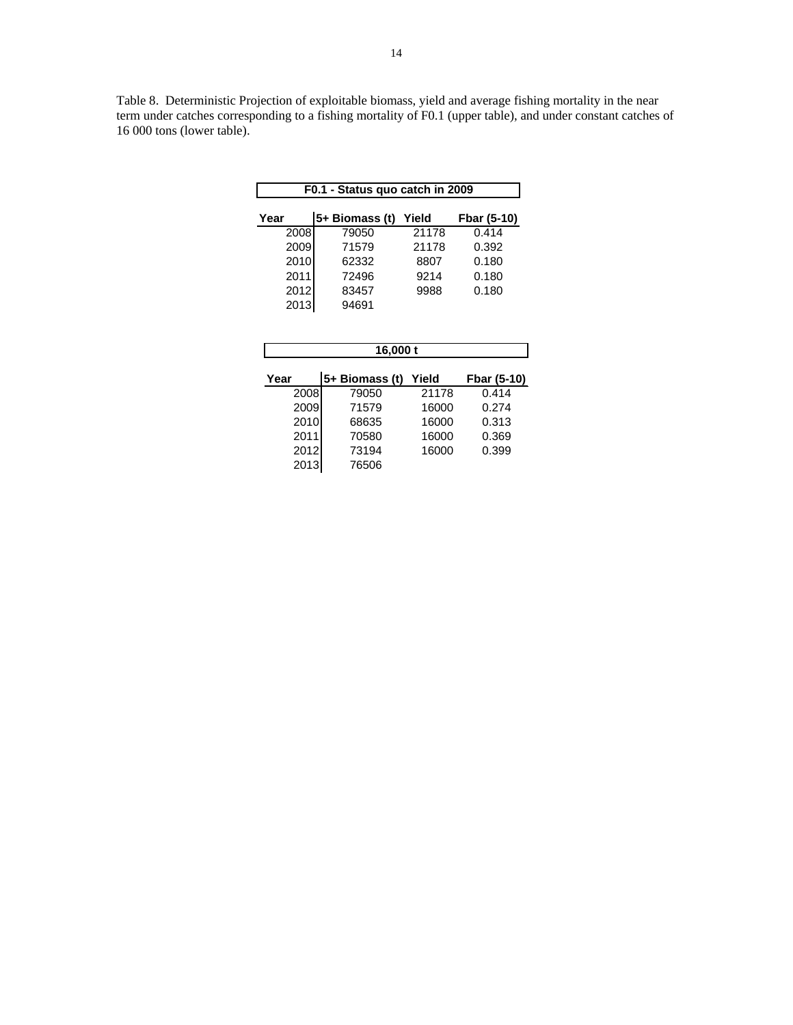Table 8. Deterministic Projection of exploitable biomass, yield and average fishing mortality in the near term under catches corresponding to a fishing mortality of F0.1 (upper table), and under constant catches of 16 000 tons (lower table).

| F0.1 - Status quo catch in 2009 |                |       |             |  |  |  |  |  |  |
|---------------------------------|----------------|-------|-------------|--|--|--|--|--|--|
| Year                            | 5+ Biomass (t) | Yield | Fbar (5-10) |  |  |  |  |  |  |
| 2008                            | 79050          | 21178 | 0.414       |  |  |  |  |  |  |
| 2009                            | 71579          | 21178 | 0.392       |  |  |  |  |  |  |
| 2010                            | 62332          | 8807  | 0.180       |  |  |  |  |  |  |
| 2011                            | 72496          | 9214  | 0.180       |  |  |  |  |  |  |
| 2012                            | 83457          | 9988  | 0.180       |  |  |  |  |  |  |
| 2013                            | 94691          |       |             |  |  |  |  |  |  |

| 16,000 t |                  |       |             |  |  |  |  |  |  |  |
|----------|------------------|-------|-------------|--|--|--|--|--|--|--|
| Year     | $5+$ Biomass (t) | Yield | Fbar (5-10) |  |  |  |  |  |  |  |
| 2008     | 79050            | 21178 | 0.414       |  |  |  |  |  |  |  |
| 2009     | 71579            | 16000 | 0.274       |  |  |  |  |  |  |  |
| 2010     | 68635            | 16000 | 0.313       |  |  |  |  |  |  |  |
| 2011     | 70580            | 16000 | 0.369       |  |  |  |  |  |  |  |
| 2012     | 73194            | 16000 | 0.399       |  |  |  |  |  |  |  |
| 2013     | 76506            |       |             |  |  |  |  |  |  |  |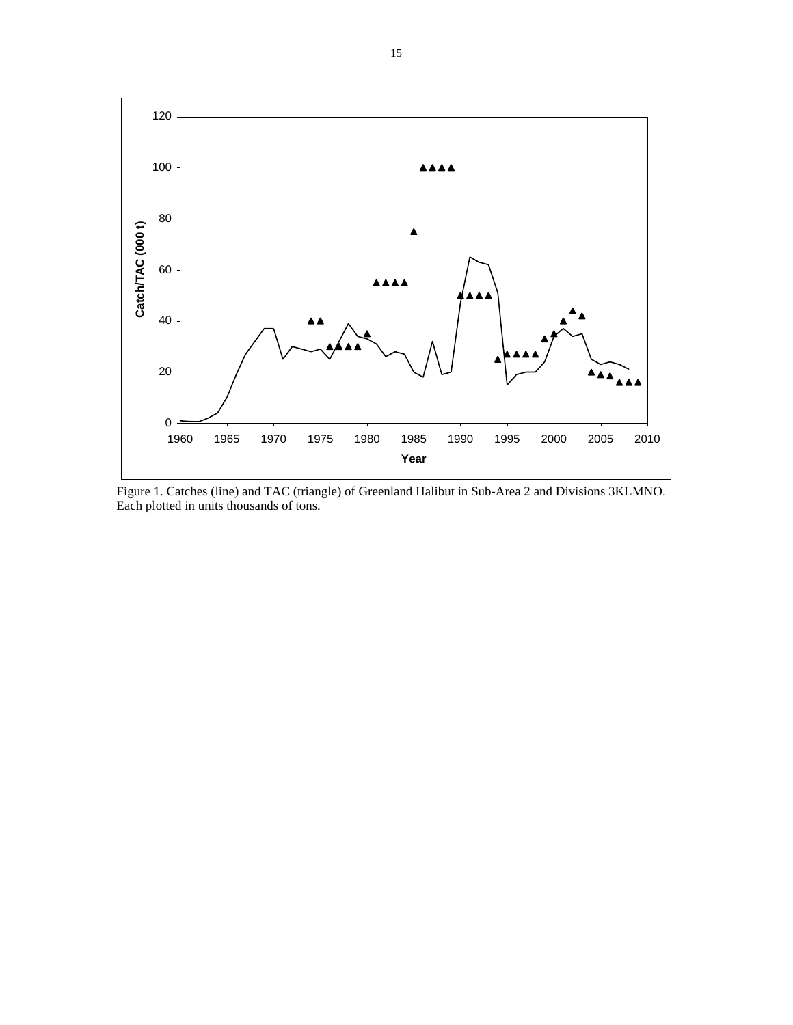

Figure 1. Catches (line) and TAC (triangle) of Greenland Halibut in Sub-Area 2 and Divisions 3KLMNO. Each plotted in units thousands of tons.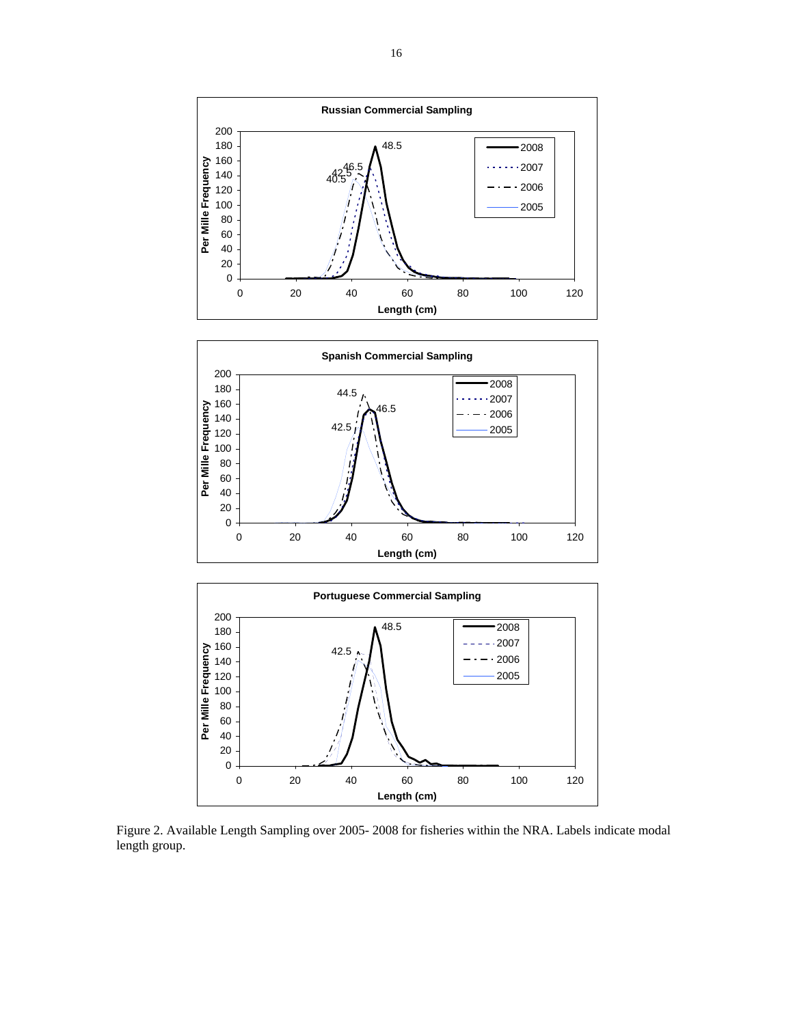





Figure 2. Available Length Sampling over 2005- 2008 for fisheries within the NRA. Labels indicate modal length group.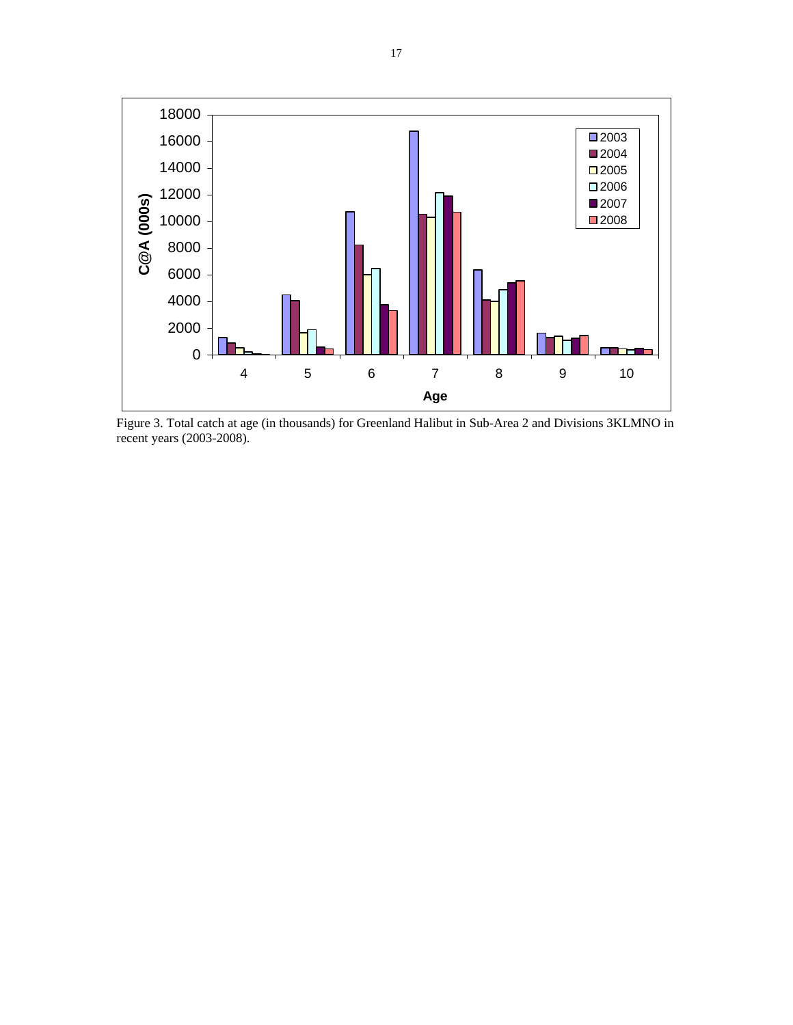

Figure 3. Total catch at age (in thousands) for Greenland Halibut in Sub-Area 2 and Divisions 3KLMNO in recent years (2003-2008).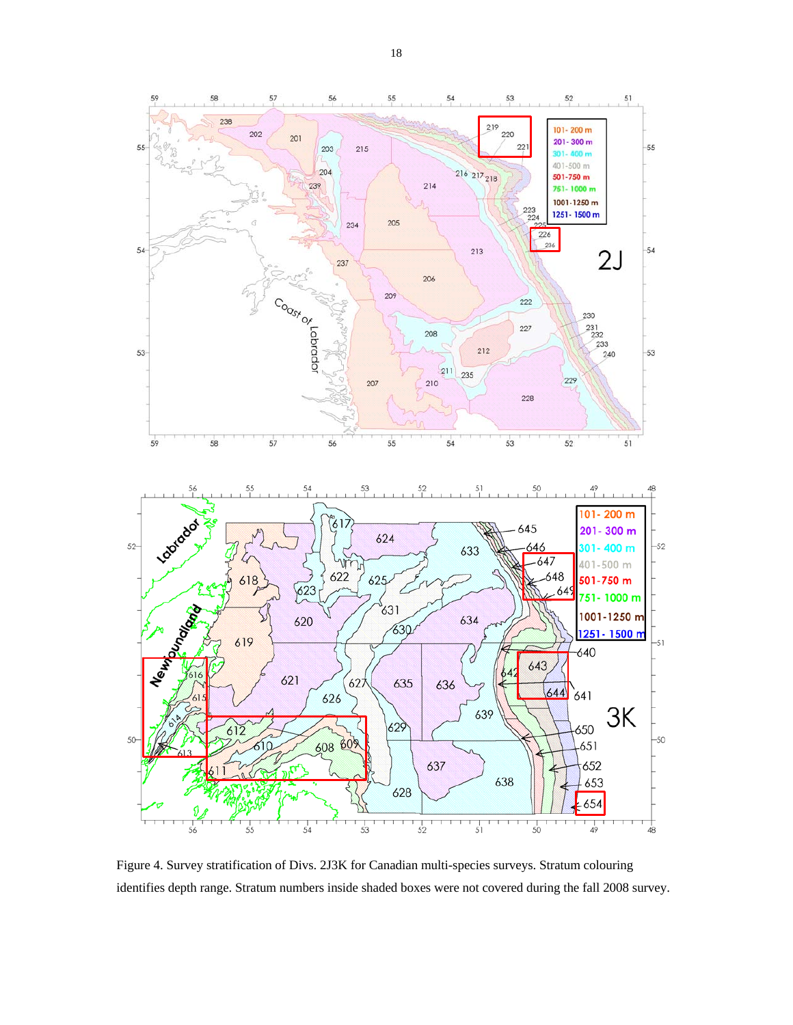

Figure 4. Survey stratification of Divs. 2J3K for Canadian multi-species surveys. Stratum colouring identifies depth range. Stratum numbers inside shaded boxes were not covered during the fall 2008 survey.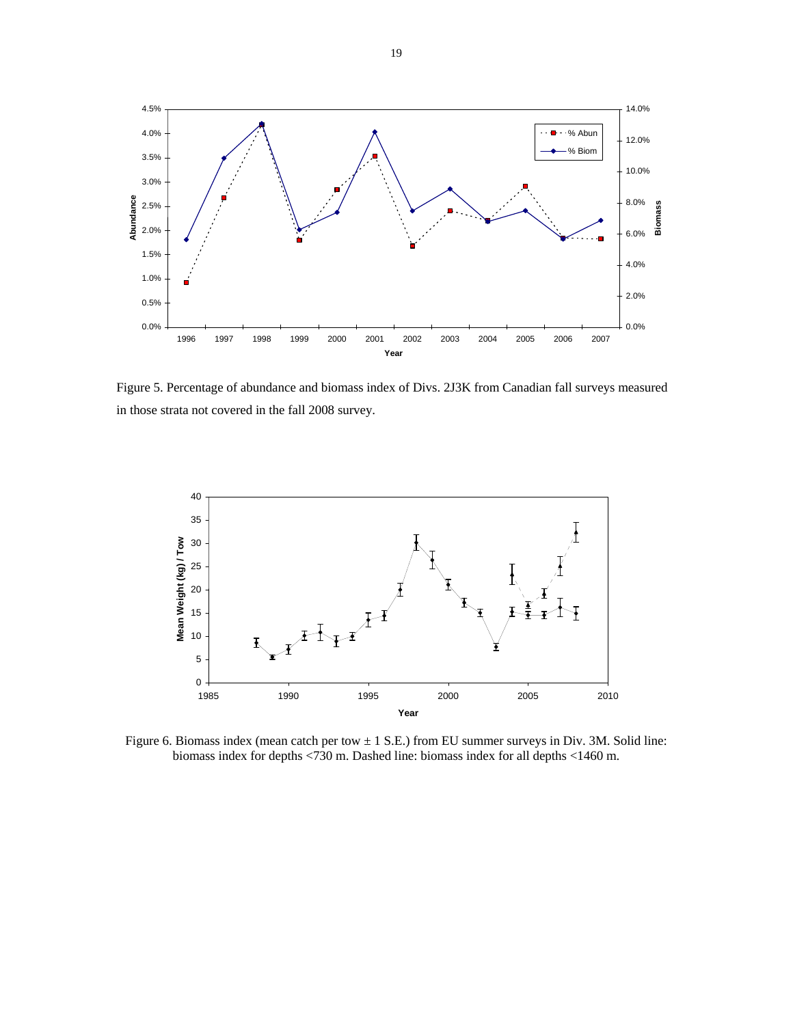

Figure 5. Percentage of abundance and biomass index of Divs. 2J3K from Canadian fall surveys measured in those strata not covered in the fall 2008 survey.



Figure 6. Biomass index (mean catch per tow  $\pm$  1 S.E.) from EU summer surveys in Div. 3M. Solid line: biomass index for depths <730 m. Dashed line: biomass index for all depths <1460 m.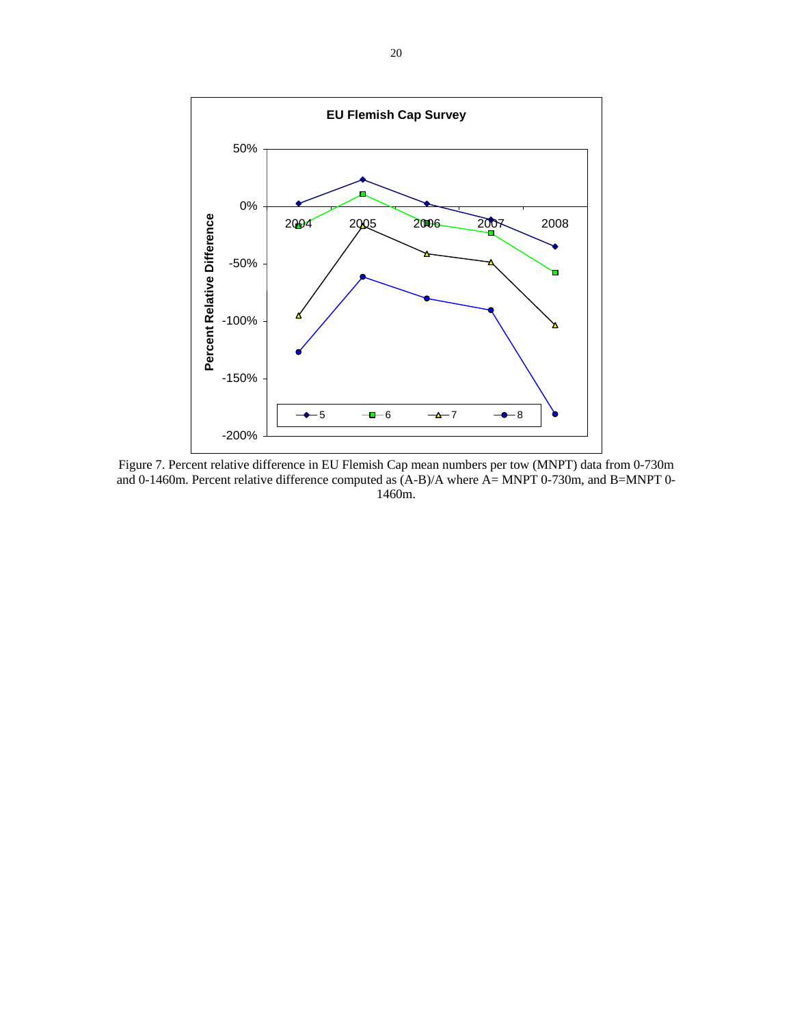

 Figure 7. Percent relative difference in EU Flemish Cap mean numbers per tow (MNPT) data from 0-730m and 0-1460m. Percent relative difference computed as (A-B)/A where A= MNPT 0-730m, and B=MNPT 0- 1460m.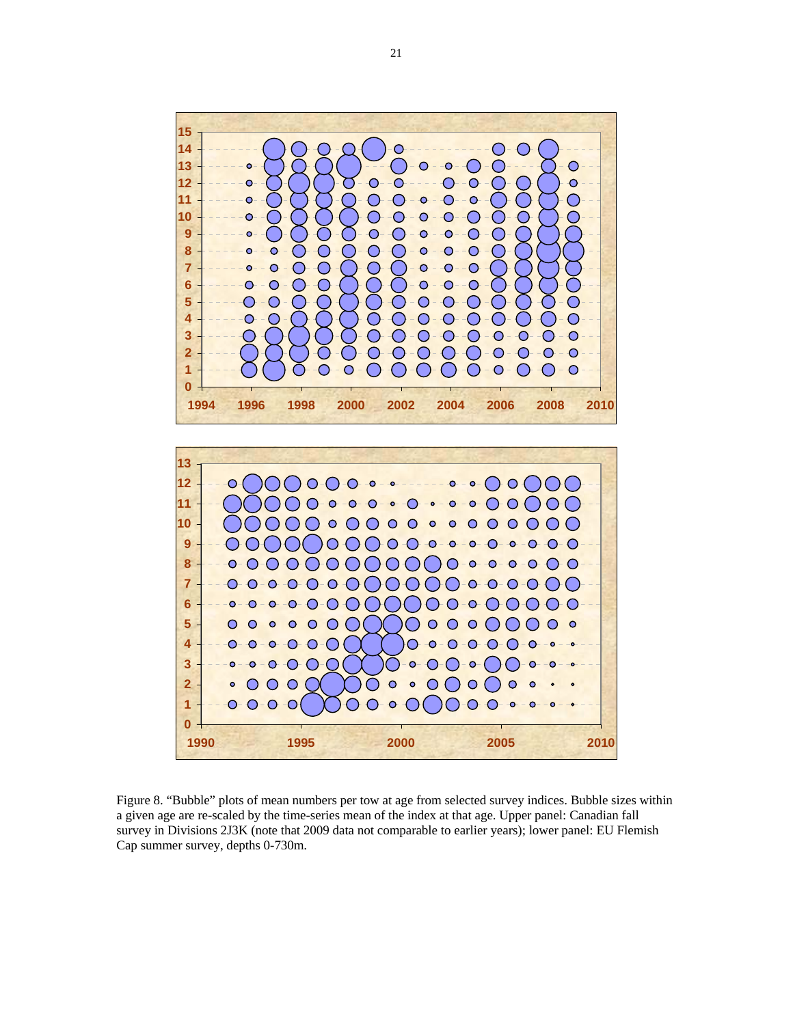



Figure 8. "Bubble" plots of mean numbers per tow at age from selected survey indices. Bubble sizes within a given age are re-scaled by the time-series mean of the index at that age. Upper panel: Canadian fall survey in Divisions 2J3K (note that 2009 data not comparable to earlier years); lower panel: EU Flemish Cap summer survey, depths 0-730m.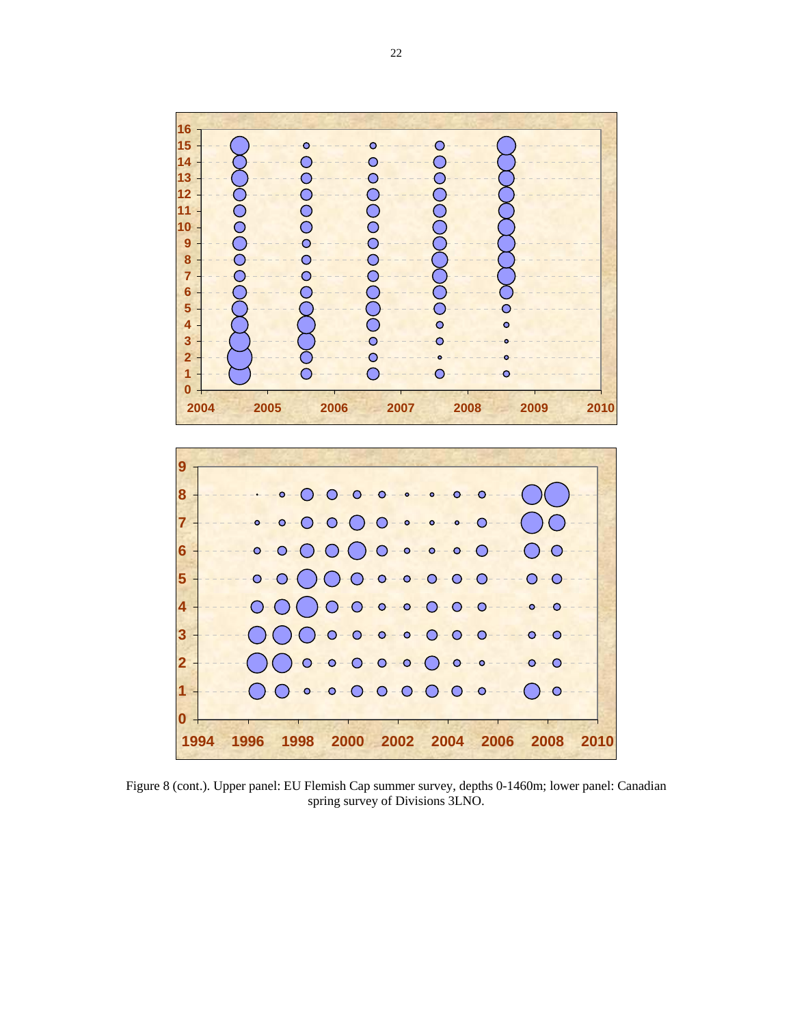



Figure 8 (cont.). Upper panel: EU Flemish Cap summer survey, depths 0-1460m; lower panel: Canadian spring survey of Divisions 3LNO.